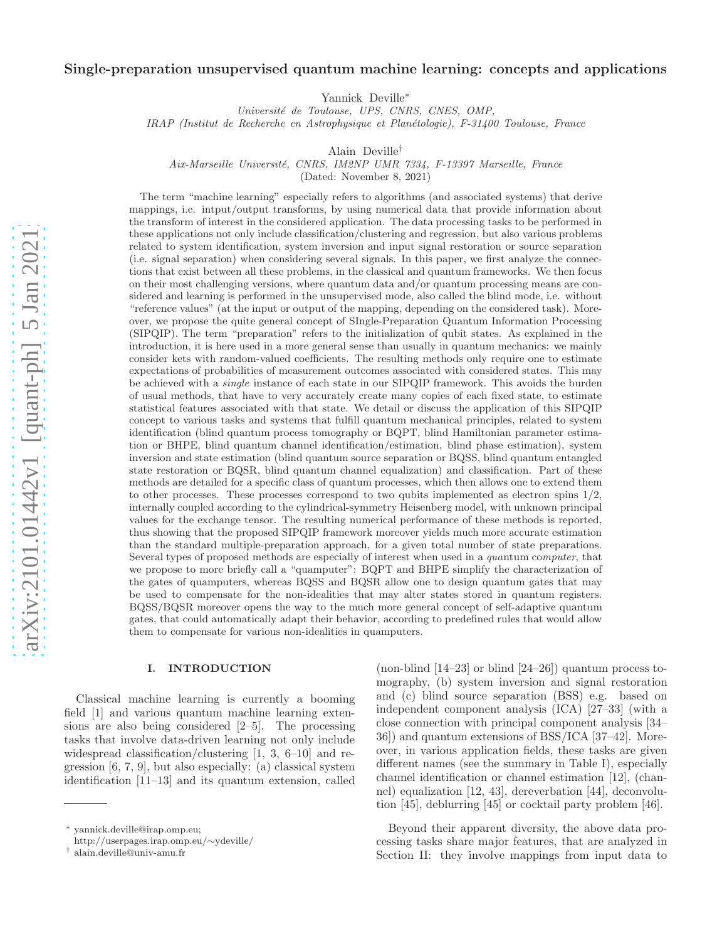# Single-preparation unsupervised quantum machine learning: concepts and applications

Yannick Deville<sup>∗</sup>

*Universit´e de Toulouse, UPS, CNRS, CNES, OMP,*

*IRAP (Institut de Recherche en Astrophysique et Plan´etologie), F-31400 Toulouse, France*

Alain Deville†

*Aix-Marseille Universit´e, CNRS, IM2NP UMR 7334, F-13397 Marseille, France*

(Dated: November 8, 2021)

The term "machine learning" especially refers to algorithms (and associated systems) that derive mappings, i.e. intput/output transforms, by using numerical data that provide information about the transform of interest in the considered application. The data processing tasks to be performed in these applications not only include classification/clustering and regression, but also various problems related to system identification, system inversion and input signal restoration or source separation (i.e. signal separation) when considering several signals. In this paper, we first analyze the connections that exist between all these problems, in the classical and quantum frameworks. We then focus on their most challenging versions, where quantum data and/or quantum processing means are considered and learning is performed in the unsupervised mode, also called the blind mode, i.e. without "reference values" (at the input or output of the mapping, depending on the considered task). Moreover, we propose the quite general concept of SIngle-Preparation Quantum Information Processing (SIPQIP). The term "preparation" refers to the initialization of qubit states. As explained in the introduction, it is here used in a more general sense than usually in quantum mechanics: we mainly consider kets with random-valued coefficients. The resulting methods only require one to estimate expectations of probabilities of measurement outcomes associated with considered states. This may be achieved with a *single* instance of each state in our SIPQIP framework. This avoids the burden of usual methods, that have to very accurately create many copies of each fixed state, to estimate statistical features associated with that state. We detail or discuss the application of this SIPQIP concept to various tasks and systems that fulfill quantum mechanical principles, related to system identification (blind quantum process tomography or BQPT, blind Hamiltonian parameter estimation or BHPE, blind quantum channel identification/estimation, blind phase estimation), system inversion and state estimation (blind quantum source separation or BQSS, blind quantum entangled state restoration or BQSR, blind quantum channel equalization) and classification. Part of these methods are detailed for a specific class of quantum processes, which then allows one to extend them to other processes. These processes correspond to two qubits implemented as electron spins  $1/2$ , internally coupled according to the cylindrical-symmetry Heisenberg model, with unknown principal values for the exchange tensor. The resulting numerical performance of these methods is reported, thus showing that the proposed SIPQIP framework moreover yields much more accurate estimation than the standard multiple-preparation approach, for a given total number of state preparations. Several types of proposed methods are especially of interest when used in a *qua*ntum co*mputer*, that we propose to more briefly call a "quamputer": BQPT and BHPE simplify the characterization of the gates of quamputers, whereas BQSS and BQSR allow one to design quantum gates that may be used to compensate for the non-idealities that may alter states stored in quantum registers. BQSS/BQSR moreover opens the way to the much more general concept of self-adaptive quantum gates, that could automatically adapt their behavior, according to predefined rules that would allow them to compensate for various non-idealities in quamputers.

#### I. INTRODUCTION

Classical machine learning is currently a booming field [1] and various quantum machine learning extensions are also being considered [2–5]. The processing tasks that involve data-driven learning not only include widespread classification/clustering [1, 3, 6–10] and regression [6, 7, 9], but also especially: (a) classical system identification [11–13] and its quantum extension, called

(non-blind  $[14-23]$  or blind  $[24-26]$ ) quantum process tomography, (b) system inversion and signal restoration and (c) blind source separation (BSS) e.g. based on independent component analysis (ICA) [27–33] (with a close connection with principal component analysis [34– 36]) and quantum extensions of BSS/ICA [37–42]. Moreover, in various application fields, these tasks are given different names (see the summary in Table I), especially channel identification or channel estimation [12], (channel) equalization [12, 43], dereverbation [44], deconvolution [45], deblurring [45] or cocktail party problem [46].

Beyond their apparent diversity, the above data processing tasks share major features, that are analyzed in Section II: they involve mappings from input data to

<sup>∗</sup> yannick.deville@irap.omp.eu;

http://userpages.irap.omp.eu/∼ydeville/

<sup>†</sup> alain.deville@univ-amu.fr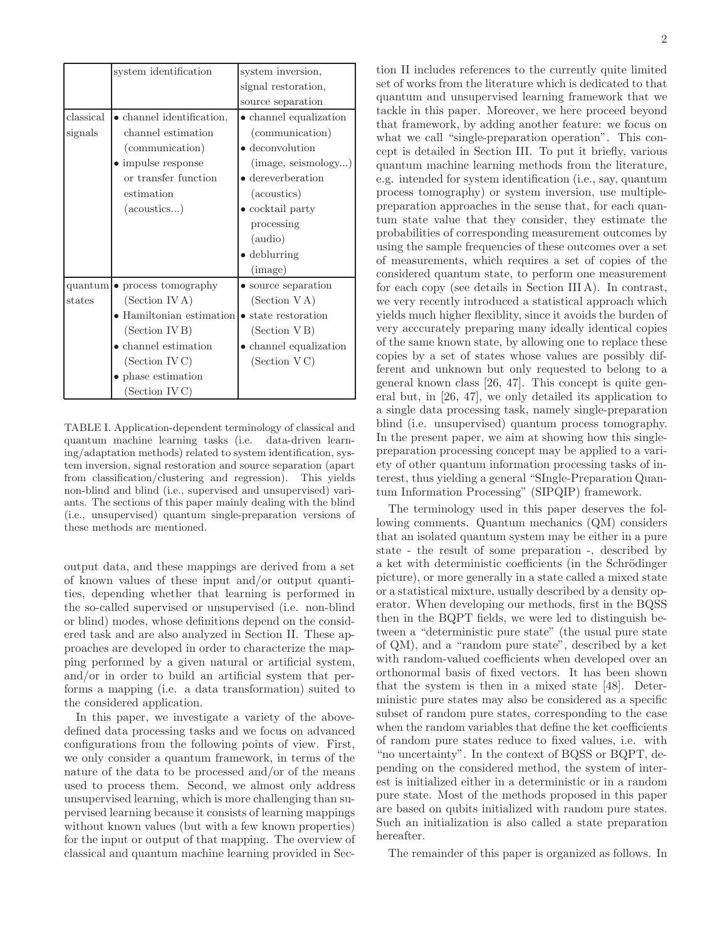|           | system identification             | system inversion,              |
|-----------|-----------------------------------|--------------------------------|
|           |                                   | signal restoration,            |
|           |                                   | source separation              |
| classical | $\bullet$ channel identification, | • channel equalization         |
| signals   | channel estimation                | (communication)                |
|           | (communication)                   | $\bullet$ deconvolution        |
|           | $\bullet$ impulse response        | (image, seismology)            |
|           | or transfer function              | $\bullet$ dereverberation      |
|           | estimation                        | (acoustics)                    |
|           | $(\alpha\text{constics})$         | $\bullet$ cocktail party       |
|           |                                   | processing                     |
|           |                                   | (audio)                        |
|           |                                   | $\bullet$ deblurring           |
|           |                                   | (mage)                         |
|           | $quantum$ o process tomography    | • source separation            |
| states    | (Section IV A)                    | (Section VA)                   |
|           | • Hamiltonian estimation          | state restoration<br>$\bullet$ |
|           | (Section IV B)                    | (Section VB)                   |
|           | $\bullet$ channel estimation      | channel equalization           |
|           | (Section IVC)                     | (Section VC)                   |
|           | • phase estimation                |                                |
|           | (Section IVC)                     |                                |

TABLE I. Application-dependent terminology of classical and quantum machine learning tasks (i.e. data-driven learning/adaptation methods) related to system identification, system inversion, signal restoration and source separation (apart from classification/clustering and regression). This yields non-blind and blind (i.e., supervised and unsupervised) variants. The sections of this paper mainly dealing with the blind (i.e., unsupervised) quantum single-preparation versions of these methods are mentioned.

output data, and these mappings are derived from a set of known values of these input and/or output quantities, depending whether that learning is performed in the so-called supervised or unsupervised (i.e. non-blind or blind) modes, whose definitions depend on the considered task and are also analyzed in Section II. These approaches are developed in order to characterize the mapping performed by a given natural or artificial system, and/or in order to build an artificial system that performs a mapping (i.e. a data transformation) suited to the considered application.

In this paper, we investigate a variety of the abovedefined data processing tasks and we focus on advanced configurations from the following points of view. First, we only consider a quantum framework, in terms of the nature of the data to be processed and/or of the means used to process them. Second, we almost only address unsupervised learning, which is more challenging than supervised learning because it consists of learning mappings without known values (but with a few known properties) for the input or output of that mapping. The overview of classical and quantum machine learning provided in Sec-

tion II includes references to the currently quite limited set of works from the literature which is dedicated to that quantum and unsupervised learning framework that we tackle in this paper. Moreover, we here proceed beyond that framework, by adding another feature: we focus on what we call "single-preparation operation". This concept is detailed in Section III. To put it briefly, various quantum machine learning methods from the literature, e.g. intended for system identification (i.e., say, quantum process tomography) or system inversion, use multiplepreparation approaches in the sense that, for each quantum state value that they consider, they estimate the probabilities of corresponding measurement outcomes by using the sample frequencies of these outcomes over a set of measurements, which requires a set of copies of the considered quantum state, to perform one measurement for each copy (see details in Section III A). In contrast, we very recently introduced a statistical approach which yields much higher flexiblity, since it avoids the burden of very acccurately preparing many ideally identical copies of the same known state, by allowing one to replace these copies by a set of states whose values are possibly different and unknown but only requested to belong to a general known class [26, 47]. This concept is quite general but, in [26, 47], we only detailed its application to a single data processing task, namely single-preparation blind (i.e. unsupervised) quantum process tomography. In the present paper, we aim at showing how this singlepreparation processing concept may be applied to a variety of other quantum information processing tasks of interest, thus yielding a general "SIngle-Preparation Quantum Information Processing" (SIPQIP) framework.

The terminology used in this paper deserves the following comments. Quantum mechanics (QM) considers that an isolated quantum system may be either in a pure state - the result of some preparation -, described by a ket with deterministic coefficients (in the Schrödinger picture), or more generally in a state called a mixed state or a statistical mixture, usually described by a density operator. When developing our methods, first in the BQSS then in the BQPT fields, we were led to distinguish between a "deterministic pure state" (the usual pure state of QM), and a "random pure state", described by a ket with random-valued coefficients when developed over an orthonormal basis of fixed vectors. It has been shown that the system is then in a mixed state [48]. Deterministic pure states may also be considered as a specific subset of random pure states, corresponding to the case when the random variables that define the ket coefficients of random pure states reduce to fixed values, i.e. with "no uncertainty". In the context of BQSS or BQPT, depending on the considered method, the system of interest is initialized either in a deterministic or in a random pure state. Most of the methods proposed in this paper are based on qubits initialized with random pure states. Such an initialization is also called a state preparation hereafter.

The remainder of this paper is organized as follows. In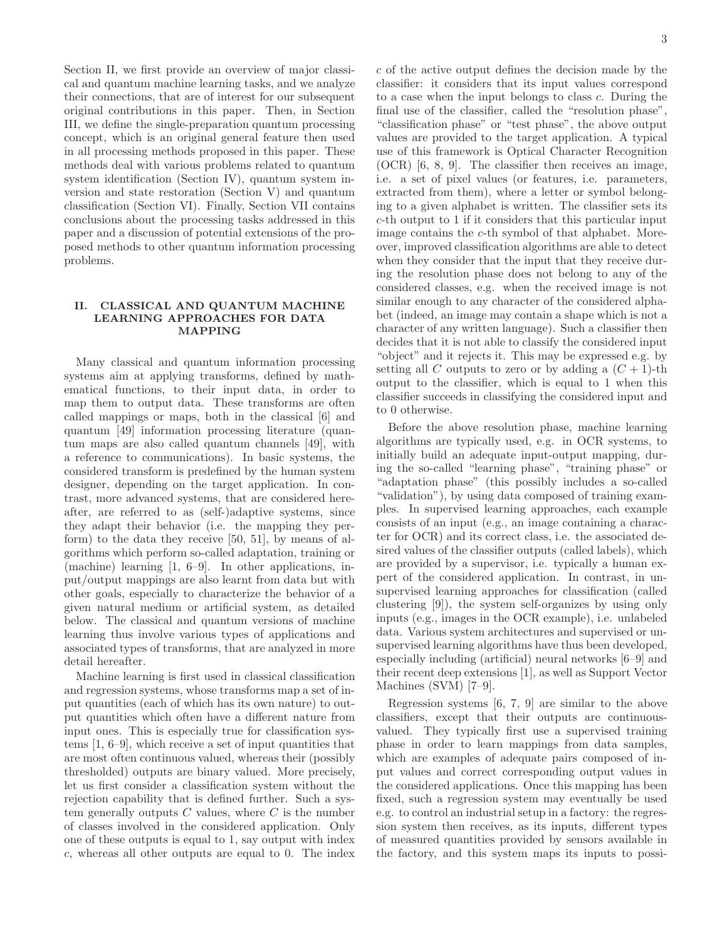Section II, we first provide an overview of major classical and quantum machine learning tasks, and we analyze their connections, that are of interest for our subsequent original contributions in this paper. Then, in Section III, we define the single-preparation quantum processing concept, which is an original general feature then used in all processing methods proposed in this paper. These methods deal with various problems related to quantum system identification (Section IV), quantum system inversion and state restoration (Section V) and quantum classification (Section VI). Finally, Section VII contains conclusions about the processing tasks addressed in this paper and a discussion of potential extensions of the proposed methods to other quantum information processing problems.

## II. CLASSICAL AND QUANTUM MACHINE LEARNING APPROACHES FOR DATA MAPPING

Many classical and quantum information processing systems aim at applying transforms, defined by mathematical functions, to their input data, in order to map them to output data. These transforms are often called mappings or maps, both in the classical [6] and quantum [49] information processing literature (quantum maps are also called quantum channels [49], with a reference to communications). In basic systems, the considered transform is predefined by the human system designer, depending on the target application. In contrast, more advanced systems, that are considered hereafter, are referred to as (self-)adaptive systems, since they adapt their behavior (i.e. the mapping they perform) to the data they receive [50, 51], by means of algorithms which perform so-called adaptation, training or (machine) learning [1, 6–9]. In other applications, input/output mappings are also learnt from data but with other goals, especially to characterize the behavior of a given natural medium or artificial system, as detailed below. The classical and quantum versions of machine learning thus involve various types of applications and associated types of transforms, that are analyzed in more detail hereafter.

Machine learning is first used in classical classification and regression systems, whose transforms map a set of input quantities (each of which has its own nature) to output quantities which often have a different nature from input ones. This is especially true for classification systems [1, 6–9], which receive a set of input quantities that are most often continuous valued, whereas their (possibly thresholded) outputs are binary valued. More precisely, let us first consider a classification system without the rejection capability that is defined further. Such a system generally outputs  $C$  values, where  $C$  is the number of classes involved in the considered application. Only one of these outputs is equal to 1, say output with index c, whereas all other outputs are equal to 0. The index c of the active output defines the decision made by the classifier: it considers that its input values correspond to a case when the input belongs to class c. During the final use of the classifier, called the "resolution phase", "classification phase" or "test phase", the above output values are provided to the target application. A typical use of this framework is Optical Character Recognition (OCR) [6, 8, 9]. The classifier then receives an image, i.e. a set of pixel values (or features, i.e. parameters, extracted from them), where a letter or symbol belonging to a given alphabet is written. The classifier sets its c-th output to 1 if it considers that this particular input image contains the c-th symbol of that alphabet. Moreover, improved classification algorithms are able to detect when they consider that the input that they receive during the resolution phase does not belong to any of the considered classes, e.g. when the received image is not similar enough to any character of the considered alphabet (indeed, an image may contain a shape which is not a character of any written language). Such a classifier then decides that it is not able to classify the considered input "object" and it rejects it. This may be expressed e.g. by setting all C outputs to zero or by adding a  $(C + 1)$ -th output to the classifier, which is equal to 1 when this classifier succeeds in classifying the considered input and to 0 otherwise.

Before the above resolution phase, machine learning algorithms are typically used, e.g. in OCR systems, to initially build an adequate input-output mapping, during the so-called "learning phase", "training phase" or "adaptation phase" (this possibly includes a so-called "validation"), by using data composed of training examples. In supervised learning approaches, each example consists of an input (e.g., an image containing a character for OCR) and its correct class, i.e. the associated desired values of the classifier outputs (called labels), which are provided by a supervisor, i.e. typically a human expert of the considered application. In contrast, in unsupervised learning approaches for classification (called clustering [9]), the system self-organizes by using only inputs (e.g., images in the OCR example), i.e. unlabeled data. Various system architectures and supervised or unsupervised learning algorithms have thus been developed, especially including (artificial) neural networks [6–9] and their recent deep extensions [1], as well as Support Vector Machines (SVM) [7–9].

Regression systems [6, 7, 9] are similar to the above classifiers, except that their outputs are continuousvalued. They typically first use a supervised training phase in order to learn mappings from data samples, which are examples of adequate pairs composed of input values and correct corresponding output values in the considered applications. Once this mapping has been fixed, such a regression system may eventually be used e.g. to control an industrial setup in a factory: the regression system then receives, as its inputs, different types of measured quantities provided by sensors available in the factory, and this system maps its inputs to possi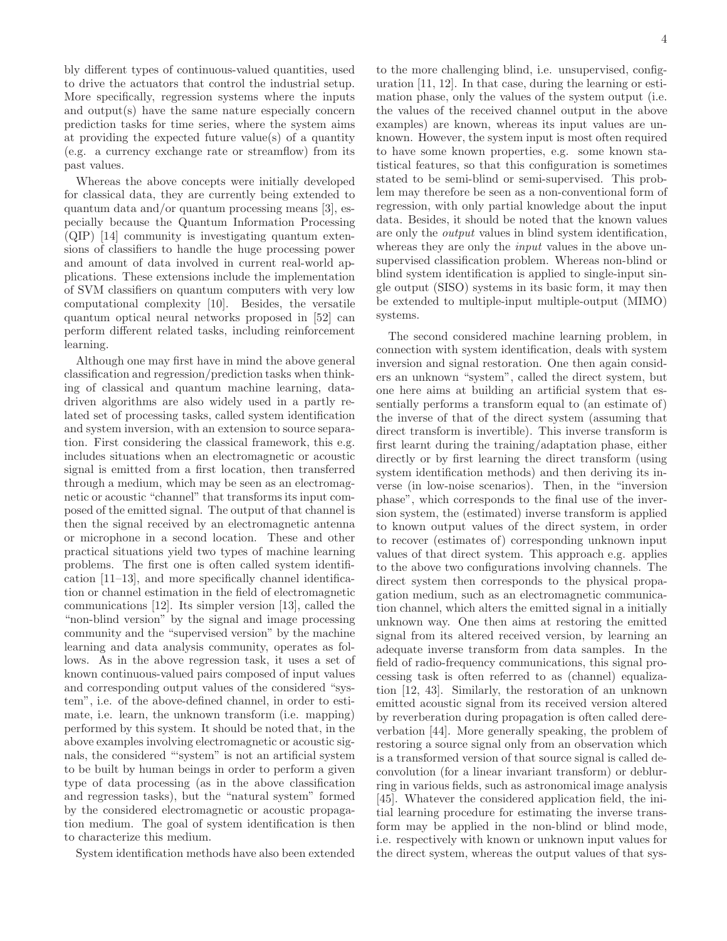bly different types of continuous-valued quantities, used to drive the actuators that control the industrial setup. More specifically, regression systems where the inputs and output(s) have the same nature especially concern prediction tasks for time series, where the system aims at providing the expected future value(s) of a quantity (e.g. a currency exchange rate or streamflow) from its past values.

Whereas the above concepts were initially developed for classical data, they are currently being extended to quantum data and/or quantum processing means [3], especially because the Quantum Information Processing (QIP) [14] community is investigating quantum extensions of classifiers to handle the huge processing power and amount of data involved in current real-world applications. These extensions include the implementation of SVM classifiers on quantum computers with very low computational complexity [10]. Besides, the versatile quantum optical neural networks proposed in [52] can perform different related tasks, including reinforcement learning.

Although one may first have in mind the above general classification and regression/prediction tasks when thinking of classical and quantum machine learning, datadriven algorithms are also widely used in a partly related set of processing tasks, called system identification and system inversion, with an extension to source separation. First considering the classical framework, this e.g. includes situations when an electromagnetic or acoustic signal is emitted from a first location, then transferred through a medium, which may be seen as an electromagnetic or acoustic "channel" that transforms its input composed of the emitted signal. The output of that channel is then the signal received by an electromagnetic antenna or microphone in a second location. These and other practical situations yield two types of machine learning problems. The first one is often called system identification [11–13], and more specifically channel identification or channel estimation in the field of electromagnetic communications [12]. Its simpler version [13], called the "non-blind version" by the signal and image processing community and the "supervised version" by the machine learning and data analysis community, operates as follows. As in the above regression task, it uses a set of known continuous-valued pairs composed of input values and corresponding output values of the considered "system", i.e. of the above-defined channel, in order to estimate, i.e. learn, the unknown transform (i.e. mapping) performed by this system. It should be noted that, in the above examples involving electromagnetic or acoustic signals, the considered "'system" is not an artificial system to be built by human beings in order to perform a given type of data processing (as in the above classification and regression tasks), but the "natural system" formed by the considered electromagnetic or acoustic propagation medium. The goal of system identification is then to characterize this medium.

System identification methods have also been extended

to the more challenging blind, i.e. unsupervised, configuration [11, 12]. In that case, during the learning or estimation phase, only the values of the system output (i.e. the values of the received channel output in the above examples) are known, whereas its input values are unknown. However, the system input is most often required to have some known properties, e.g. some known statistical features, so that this configuration is sometimes stated to be semi-blind or semi-supervised. This problem may therefore be seen as a non-conventional form of regression, with only partial knowledge about the input data. Besides, it should be noted that the known values are only the output values in blind system identification, whereas they are only the *input* values in the above unsupervised classification problem. Whereas non-blind or blind system identification is applied to single-input single output (SISO) systems in its basic form, it may then be extended to multiple-input multiple-output (MIMO) systems.

The second considered machine learning problem, in connection with system identification, deals with system inversion and signal restoration. One then again considers an unknown "system", called the direct system, but one here aims at building an artificial system that essentially performs a transform equal to (an estimate of) the inverse of that of the direct system (assuming that direct transform is invertible). This inverse transform is first learnt during the training/adaptation phase, either directly or by first learning the direct transform (using system identification methods) and then deriving its inverse (in low-noise scenarios). Then, in the "inversion phase", which corresponds to the final use of the inversion system, the (estimated) inverse transform is applied to known output values of the direct system, in order to recover (estimates of) corresponding unknown input values of that direct system. This approach e.g. applies to the above two configurations involving channels. The direct system then corresponds to the physical propagation medium, such as an electromagnetic communication channel, which alters the emitted signal in a initially unknown way. One then aims at restoring the emitted signal from its altered received version, by learning an adequate inverse transform from data samples. In the field of radio-frequency communications, this signal processing task is often referred to as (channel) equalization [12, 43]. Similarly, the restoration of an unknown emitted acoustic signal from its received version altered by reverberation during propagation is often called dereverbation [44]. More generally speaking, the problem of restoring a source signal only from an observation which is a transformed version of that source signal is called deconvolution (for a linear invariant transform) or deblurring in various fields, such as astronomical image analysis [45]. Whatever the considered application field, the initial learning procedure for estimating the inverse transform may be applied in the non-blind or blind mode, i.e. respectively with known or unknown input values for the direct system, whereas the output values of that sys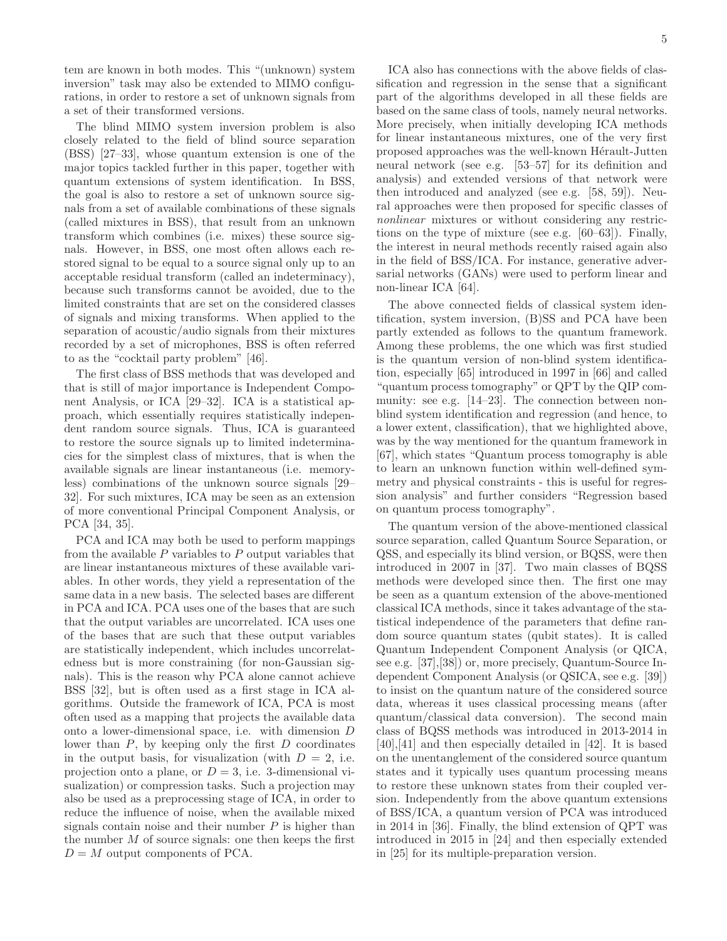tem are known in both modes. This "(unknown) system inversion" task may also be extended to MIMO configurations, in order to restore a set of unknown signals from a set of their transformed versions.

The blind MIMO system inversion problem is also closely related to the field of blind source separation (BSS) [27–33], whose quantum extension is one of the major topics tackled further in this paper, together with quantum extensions of system identification. In BSS, the goal is also to restore a set of unknown source signals from a set of available combinations of these signals (called mixtures in BSS), that result from an unknown transform which combines (i.e. mixes) these source signals. However, in BSS, one most often allows each restored signal to be equal to a source signal only up to an acceptable residual transform (called an indeterminacy), because such transforms cannot be avoided, due to the limited constraints that are set on the considered classes of signals and mixing transforms. When applied to the separation of acoustic/audio signals from their mixtures recorded by a set of microphones, BSS is often referred to as the "cocktail party problem" [46].

The first class of BSS methods that was developed and that is still of major importance is Independent Component Analysis, or ICA [29–32]. ICA is a statistical approach, which essentially requires statistically independent random source signals. Thus, ICA is guaranteed to restore the source signals up to limited indeterminacies for the simplest class of mixtures, that is when the available signals are linear instantaneous (i.e. memoryless) combinations of the unknown source signals [29– 32]. For such mixtures, ICA may be seen as an extension of more conventional Principal Component Analysis, or PCA [34, 35].

PCA and ICA may both be used to perform mappings from the available  $P$  variables to  $P$  output variables that are linear instantaneous mixtures of these available variables. In other words, they yield a representation of the same data in a new basis. The selected bases are different in PCA and ICA. PCA uses one of the bases that are such that the output variables are uncorrelated. ICA uses one of the bases that are such that these output variables are statistically independent, which includes uncorrelatedness but is more constraining (for non-Gaussian signals). This is the reason why PCA alone cannot achieve BSS [32], but is often used as a first stage in ICA algorithms. Outside the framework of ICA, PCA is most often used as a mapping that projects the available data onto a lower-dimensional space, i.e. with dimension D lower than  $P$ , by keeping only the first  $D$  coordinates in the output basis, for visualization (with  $D = 2$ , i.e. projection onto a plane, or  $D = 3$ , i.e. 3-dimensional visualization) or compression tasks. Such a projection may also be used as a preprocessing stage of ICA, in order to reduce the influence of noise, when the available mixed signals contain noise and their number  $P$  is higher than the number  $M$  of source signals: one then keeps the first  $D = M$  output components of PCA.

ICA also has connections with the above fields of classification and regression in the sense that a significant part of the algorithms developed in all these fields are based on the same class of tools, namely neural networks. More precisely, when initially developing ICA methods for linear instantaneous mixtures, one of the very first proposed approaches was the well-known Hérault-Jutten neural network (see e.g. [53–57] for its definition and analysis) and extended versions of that network were then introduced and analyzed (see e.g. [58, 59]). Neural approaches were then proposed for specific classes of nonlinear mixtures or without considering any restrictions on the type of mixture (see e.g. [60–63]). Finally, the interest in neural methods recently raised again also in the field of BSS/ICA. For instance, generative adversarial networks (GANs) were used to perform linear and non-linear ICA [64].

The above connected fields of classical system identification, system inversion, (B)SS and PCA have been partly extended as follows to the quantum framework. Among these problems, the one which was first studied is the quantum version of non-blind system identification, especially [65] introduced in 1997 in [66] and called "quantum process tomography" or QPT by the QIP community: see e.g. [14–23]. The connection between nonblind system identification and regression (and hence, to a lower extent, classification), that we highlighted above, was by the way mentioned for the quantum framework in [67], which states "Quantum process tomography is able to learn an unknown function within well-defined symmetry and physical constraints - this is useful for regression analysis" and further considers "Regression based on quantum process tomography".

The quantum version of the above-mentioned classical source separation, called Quantum Source Separation, or QSS, and especially its blind version, or BQSS, were then introduced in 2007 in [37]. Two main classes of BQSS methods were developed since then. The first one may be seen as a quantum extension of the above-mentioned classical ICA methods, since it takes advantage of the statistical independence of the parameters that define random source quantum states (qubit states). It is called Quantum Independent Component Analysis (or QICA, see e.g. [37],[38]) or, more precisely, Quantum-Source Independent Component Analysis (or QSICA, see e.g. [39]) to insist on the quantum nature of the considered source data, whereas it uses classical processing means (after quantum/classical data conversion). The second main class of BQSS methods was introduced in 2013-2014 in [40],[41] and then especially detailed in [42]. It is based on the unentanglement of the considered source quantum states and it typically uses quantum processing means to restore these unknown states from their coupled version. Independently from the above quantum extensions of BSS/ICA, a quantum version of PCA was introduced in 2014 in [36]. Finally, the blind extension of QPT was introduced in 2015 in [24] and then especially extended in [25] for its multiple-preparation version.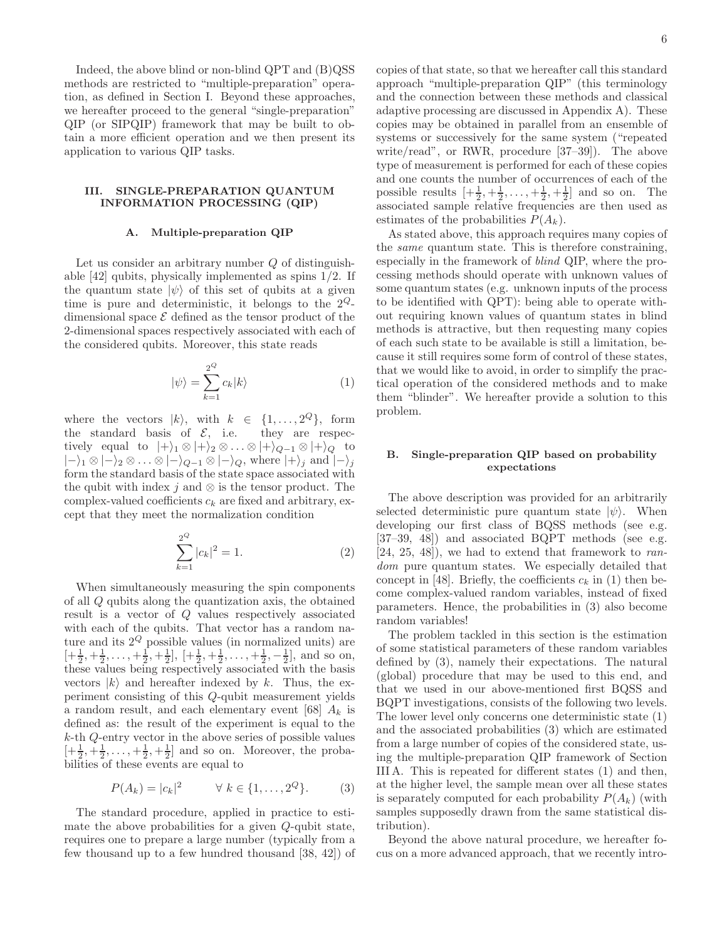Indeed, the above blind or non-blind QPT and (B)QSS methods are restricted to "multiple-preparation" operation, as defined in Section I. Beyond these approaches, we hereafter proceed to the general "single-preparation" QIP (or SIPQIP) framework that may be built to obtain a more efficient operation and we then present its application to various QIP tasks.

## III. SINGLE-PREPARATION QUANTUM INFORMATION PROCESSING (QIP)

#### A. Multiple-preparation QIP

Let us consider an arbitrary number Q of distinguishable [42] qubits, physically implemented as spins 1/2. If the quantum state  $|\psi\rangle$  of this set of qubits at a given time is pure and deterministic, it belongs to the  $2^Q$ dimensional space  $\mathcal E$  defined as the tensor product of the 2-dimensional spaces respectively associated with each of the considered qubits. Moreover, this state reads

$$
|\psi\rangle = \sum_{k=1}^{2^Q} c_k |k\rangle \tag{1}
$$

where the vectors  $|k\rangle$ , with  $k \in \{1, \ldots, 2^Q\}$ , form the standard basis of  $\mathcal{E}$ , i.e. they are respectively equal to  $|+\rangle_1 \otimes |+\rangle_2 \otimes \ldots \otimes |+\rangle_{Q-1} \otimes |+\rangle_Q$  to  $|-\rangle_1 \otimes |-\rangle_2 \otimes \ldots \otimes |-\rangle_{Q-1} \otimes |-\rangle_Q$ , where  $|+\rangle_i$  and  $|-\rangle_i$ form the standard basis of the state space associated with the qubit with index j and  $\otimes$  is the tensor product. The complex-valued coefficients  $c_k$  are fixed and arbitrary, except that they meet the normalization condition

$$
\sum_{k=1}^{2^Q} |c_k|^2 = 1.
$$
 (2)

When simultaneously measuring the spin components of all Q qubits along the quantization axis, the obtained result is a vector of Q values respectively associated with each of the qubits. That vector has a random nature and its  $2^Q$  possible values (in normalized units) are  $[+\frac{1}{2}, +\frac{1}{2}, \dots, +\frac{1}{2}, +\frac{1}{2}], [\pm \frac{1}{2}, +\frac{1}{2}, \dots, +\frac{1}{2}, -\frac{1}{2}],$  and so on, these values being respectively associated with the basis vectors  $|k\rangle$  and hereafter indexed by k. Thus, the experiment consisting of this Q-qubit measurement yields a random result, and each elementary event [68]  $A_k$  is defined as: the result of the experiment is equal to the k-th Q-entry vector in the above series of possible values  $\left[+\frac{1}{2},+\frac{1}{2},\ldots,+\frac{1}{2},+\frac{1}{2}\right]$  and so on. Moreover, the probabilities of these events are equal to

$$
P(A_k) = |c_k|^2 \qquad \forall \ k \in \{1, ..., 2^Q\}.
$$
 (3)

The standard procedure, applied in practice to estimate the above probabilities for a given Q-qubit state, requires one to prepare a large number (typically from a few thousand up to a few hundred thousand [38, 42]) of copies of that state, so that we hereafter call this standard approach "multiple-preparation QIP" (this terminology and the connection between these methods and classical adaptive processing are discussed in Appendix A). These copies may be obtained in parallel from an ensemble of systems or successively for the same system ("repeated write/read", or RWR, procedure [37–39]). The above type of measurement is performed for each of these copies and one counts the number of occurrences of each of the possible results  $\left[+\frac{1}{2},+\frac{1}{2},\ldots,+\frac{1}{2},+\frac{1}{2}\right]$  and so on. The associated sample relative frequencies are then used as estimates of the probabilities  $P(A_k)$ .

As stated above, this approach requires many copies of the same quantum state. This is therefore constraining, especially in the framework of blind QIP, where the processing methods should operate with unknown values of some quantum states (e.g. unknown inputs of the process to be identified with QPT): being able to operate without requiring known values of quantum states in blind methods is attractive, but then requesting many copies of each such state to be available is still a limitation, because it still requires some form of control of these states, that we would like to avoid, in order to simplify the practical operation of the considered methods and to make them "blinder". We hereafter provide a solution to this problem.

## B. Single-preparation QIP based on probability expectations

The above description was provided for an arbitrarily selected deterministic pure quantum state  $|\psi\rangle$ . When developing our first class of BQSS methods (see e.g. [37–39, 48]) and associated BQPT methods (see e.g.  $[24, 25, 48]$ , we had to extend that framework to random pure quantum states. We especially detailed that concept in [48]. Briefly, the coefficients  $c_k$  in (1) then become complex-valued random variables, instead of fixed parameters. Hence, the probabilities in (3) also become random variables!

The problem tackled in this section is the estimation of some statistical parameters of these random variables defined by (3), namely their expectations. The natural (global) procedure that may be used to this end, and that we used in our above-mentioned first BQSS and BQPT investigations, consists of the following two levels. The lower level only concerns one deterministic state (1) and the associated probabilities (3) which are estimated from a large number of copies of the considered state, using the multiple-preparation QIP framework of Section III A. This is repeated for different states (1) and then, at the higher level, the sample mean over all these states is separately computed for each probability  $P(A_k)$  (with samples supposedly drawn from the same statistical distribution).

Beyond the above natural procedure, we hereafter focus on a more advanced approach, that we recently intro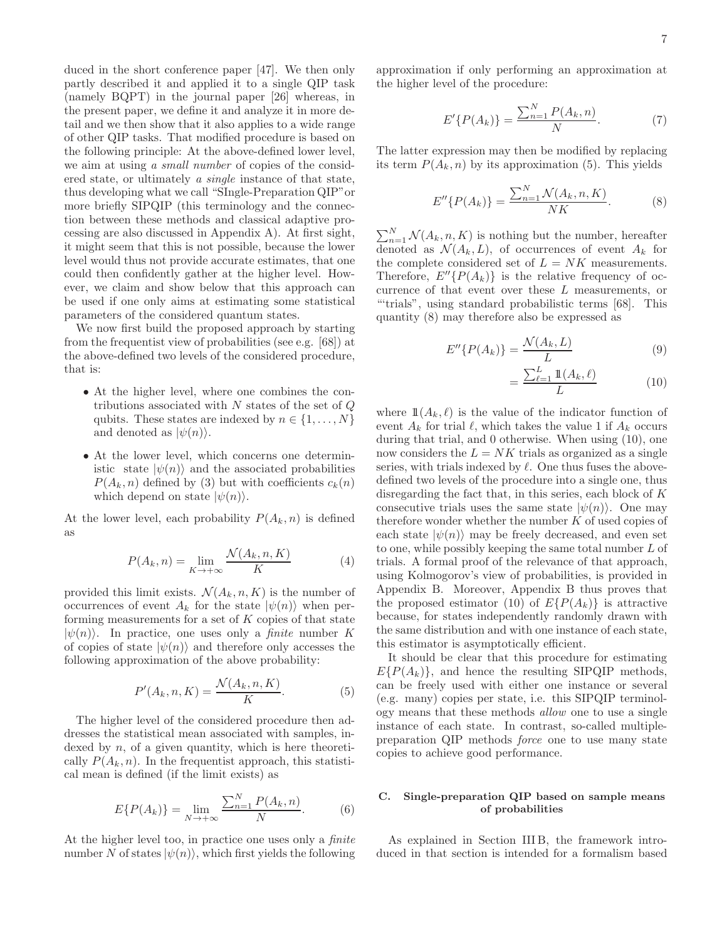duced in the short conference paper [47]. We then only partly described it and applied it to a single QIP task (namely BQPT) in the journal paper [26] whereas, in the present paper, we define it and analyze it in more detail and we then show that it also applies to a wide range of other QIP tasks. That modified procedure is based on the following principle: At the above-defined lower level, we aim at using a small number of copies of the considered state, or ultimately a single instance of that state, thus developing what we call "SIngle-Preparation QIP"or more briefly SIPQIP (this terminology and the connection between these methods and classical adaptive processing are also discussed in Appendix A). At first sight, it might seem that this is not possible, because the lower level would thus not provide accurate estimates, that one could then confidently gather at the higher level. However, we claim and show below that this approach can be used if one only aims at estimating some statistical parameters of the considered quantum states.

We now first build the proposed approach by starting from the frequentist view of probabilities (see e.g. [68]) at the above-defined two levels of the considered procedure, that is:

- At the higher level, where one combines the contributions associated with  $N$  states of the set of  $Q$ qubits. These states are indexed by  $n \in \{1, \ldots, N\}$ and denoted as  $|\psi(n)\rangle$ .
- At the lower level, which concerns one deterministic state  $|\psi(n)\rangle$  and the associated probabilities  $P(A_k, n)$  defined by (3) but with coefficients  $c_k(n)$ which depend on state  $|\psi(n)\rangle$ .

At the lower level, each probability  $P(A_k, n)$  is defined as

$$
P(A_k, n) = \lim_{K \to +\infty} \frac{\mathcal{N}(A_k, n, K)}{K}
$$
 (4)

provided this limit exists.  $\mathcal{N}(A_k, n, K)$  is the number of occurrences of event  $A_k$  for the state  $|\psi(n)\rangle$  when performing measurements for a set of  $K$  copies of that state  $|\psi(n)\rangle$ . In practice, one uses only a *finite* number K of copies of state  $|\psi(n)\rangle$  and therefore only accesses the following approximation of the above probability:

$$
P'(A_k, n, K) = \frac{\mathcal{N}(A_k, n, K)}{K}.
$$
 (5)

The higher level of the considered procedure then addresses the statistical mean associated with samples, indexed by  $n$ , of a given quantity, which is here theoretically  $P(A_k, n)$ . In the frequentist approach, this statistical mean is defined (if the limit exists) as

$$
E\{P(A_k)\} = \lim_{N \to +\infty} \frac{\sum_{n=1}^{N} P(A_k, n)}{N}.
$$
 (6)

At the higher level too, in practice one uses only a *finite* number N of states  $|\psi(n)\rangle$ , which first yields the following

approximation if only performing an approximation at the higher level of the procedure:

$$
E'\{P(A_k)\} = \frac{\sum_{n=1}^{N} P(A_k, n)}{N}.
$$
 (7)

The latter expression may then be modified by replacing its term  $P(A_k, n)$  by its approximation (5). This yields

$$
E''\{P(A_k)\} = \frac{\sum_{n=1}^{N} \mathcal{N}(A_k, n, K)}{NK}.
$$
 (8)

 $\sum_{n=1}^{N} \mathcal{N}(A_k, n, K)$  is nothing but the number, hereafter denoted as  $\mathcal{N}(A_k, L)$ , of occurrences of event  $A_k$  for the complete considered set of  $L = NK$  measurements. Therefore,  $E''\lbrace P(A_k)\rbrace$  is the relative frequency of occurrence of that event over these L measurements, or "'trials", using standard probabilistic terms [68]. This quantity (8) may therefore also be expressed as

$$
E''\{P(A_k)\} = \frac{\mathcal{N}(A_k, L)}{L} \tag{9}
$$

$$
=\frac{\sum_{\ell=1}^{L}\mathbb{1}(A_k,\ell)}{L}\tag{10}
$$

where  $\mathbb{1}(A_k, \ell)$  is the value of the indicator function of event  $A_k$  for trial  $\ell$ , which takes the value 1 if  $A_k$  occurs during that trial, and 0 otherwise. When using (10), one now considers the  $L = NK$  trials as organized as a single series, with trials indexed by  $\ell$ . One thus fuses the abovedefined two levels of the procedure into a single one, thus disregarding the fact that, in this series, each block of K consecutive trials uses the same state  $|\psi(n)\rangle$ . One may therefore wonder whether the number  $K$  of used copies of each state  $|\psi(n)\rangle$  may be freely decreased, and even set to one, while possibly keeping the same total number L of trials. A formal proof of the relevance of that approach, using Kolmogorov's view of probabilities, is provided in Appendix B. Moreover, Appendix B thus proves that the proposed estimator (10) of  $E\{P(A_k)\}\$ is attractive because, for states independently randomly drawn with the same distribution and with one instance of each state, this estimator is asymptotically efficient.

It should be clear that this procedure for estimating  $E\{P(A_k)\}\$ , and hence the resulting SIPQIP methods, can be freely used with either one instance or several (e.g. many) copies per state, i.e. this SIPQIP terminology means that these methods allow one to use a single instance of each state. In contrast, so-called multiplepreparation QIP methods force one to use many state copies to achieve good performance.

# C. Single-preparation QIP based on sample means of probabilities

As explained in Section III B, the framework introduced in that section is intended for a formalism based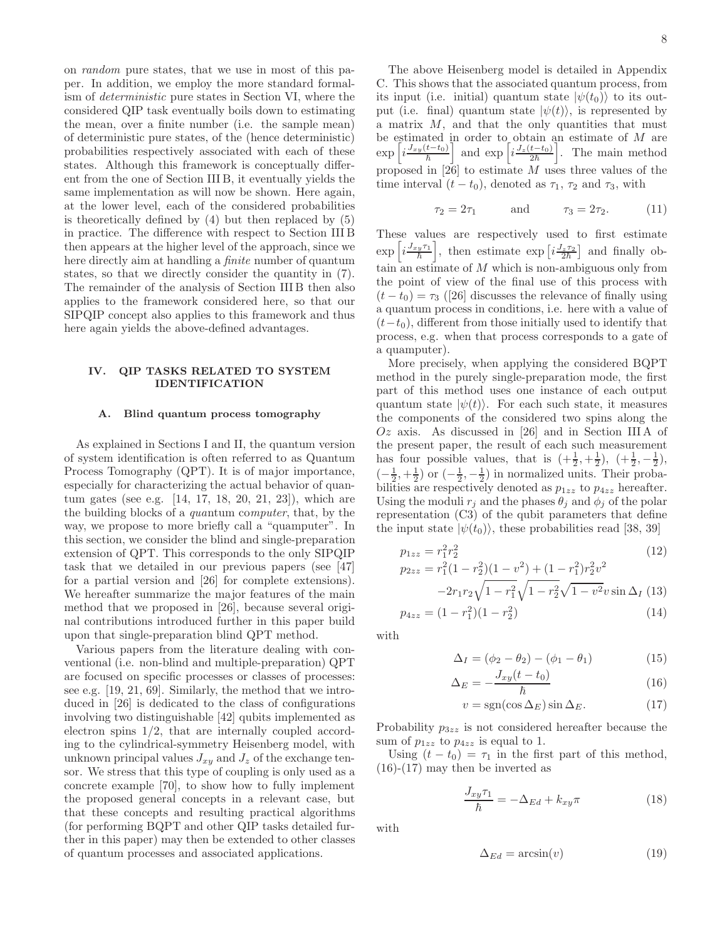on random pure states, that we use in most of this paper. In addition, we employ the more standard formalism of deterministic pure states in Section VI, where the considered QIP task eventually boils down to estimating the mean, over a finite number (i.e. the sample mean) of deterministic pure states, of the (hence deterministic) probabilities respectively associated with each of these states. Although this framework is conceptually different from the one of Section III B, it eventually yields the same implementation as will now be shown. Here again, at the lower level, each of the considered probabilities is theoretically defined by (4) but then replaced by (5) in practice. The difference with respect to Section III B then appears at the higher level of the approach, since we here directly aim at handling a finite number of quantum states, so that we directly consider the quantity in (7). The remainder of the analysis of Section III B then also applies to the framework considered here, so that our SIPQIP concept also applies to this framework and thus here again yields the above-defined advantages.

# IV. QIP TASKS RELATED TO SYSTEM IDENTIFICATION

#### A. Blind quantum process tomography

As explained in Sections I and II, the quantum version of system identification is often referred to as Quantum Process Tomography (QPT). It is of major importance, especially for characterizing the actual behavior of quantum gates (see e.g. [14, 17, 18, 20, 21, 23]), which are the building blocks of a quantum computer, that, by the way, we propose to more briefly call a "quamputer". In this section, we consider the blind and single-preparation extension of QPT. This corresponds to the only SIPQIP task that we detailed in our previous papers (see [47] for a partial version and [26] for complete extensions). We hereafter summarize the major features of the main method that we proposed in [26], because several original contributions introduced further in this paper build upon that single-preparation blind QPT method.

Various papers from the literature dealing with conventional (i.e. non-blind and multiple-preparation) QPT are focused on specific processes or classes of processes: see e.g. [19, 21, 69]. Similarly, the method that we introduced in [26] is dedicated to the class of configurations involving two distinguishable [42] qubits implemented as electron spins 1/2, that are internally coupled according to the cylindrical-symmetry Heisenberg model, with unknown principal values  $J_{xy}$  and  $J_z$  of the exchange tensor. We stress that this type of coupling is only used as a concrete example [70], to show how to fully implement the proposed general concepts in a relevant case, but that these concepts and resulting practical algorithms (for performing BQPT and other QIP tasks detailed further in this paper) may then be extended to other classes of quantum processes and associated applications.

The above Heisenberg model is detailed in Appendix C. This shows that the associated quantum process, from its input (i.e. initial) quantum state  $|\psi(t_0)\rangle$  to its output (i.e. final) quantum state  $|\psi(t)\rangle$ , is represented by a matrix  $M$ , and that the only quantities that must be estimated in order to obtain an estimate of  $M$  are  $\exp\left[i\frac{J_{xy}(t-t_0)}{\hbar}\right]$  and  $\exp\left[i\frac{J_z(t-t_0)}{2\hbar}\right]$ Fig. 2. The main method proposed in  $[26]$  to estimate M uses three values of the time interval  $(t - t_0)$ , denoted as  $\tau_1$ ,  $\tau_2$  and  $\tau_3$ , with

$$
\tau_2 = 2\tau_1
$$
 and  $\tau_3 = 2\tau_2$ . (11)

These values are respectively used to first estimate  $\exp\left[i\frac{J_{xy}\tau_1}{\hbar}\right]$ , then estimate  $\exp\left[i\frac{J_{z}\tau_2}{2\hbar}\right]$  and finally obtain an estimate of M which is non-ambiguous only from the point of view of the final use of this process with  $(t - t_0) = \tau_3$  ([26] discusses the relevance of finally using a quantum process in conditions, i.e. here with a value of  $(t-t<sub>0</sub>)$ , different from those initially used to identify that process, e.g. when that process corresponds to a gate of a quamputer).

More precisely, when applying the considered BQPT method in the purely single-preparation mode, the first part of this method uses one instance of each output quantum state  $|\psi(t)\rangle$ . For each such state, it measures the components of the considered two spins along the  $Oz$  axis. As discussed in [26] and in Section III A of the present paper, the result of each such measurement has four possible values, that is  $\left(+\frac{1}{2},+\frac{1}{2}\right), \ \left(+\frac{1}{2},-\frac{1}{2}\right),\$  $\left(-\frac{1}{2},+\frac{1}{2}\right)$  or  $\left(-\frac{1}{2},-\frac{1}{2}\right)$  in normalized units. Their probabilities are respectively denoted as  $p_{1zz}$  to  $p_{4zz}$  hereafter. Using the moduli  $r_j$  and the phases  $\theta_j$  and  $\phi_j$  of the polar representation (C3) of the qubit parameters that define the input state  $|\psi(t_0)\rangle$ , these probabilities read [38, 39]

$$
p_{1zz} = r_1^2 r_2^2
$$
\n
$$
p_{2zz} = r_1^2 (1 - r_2^2)(1 - v^2) + (1 - r_1^2) r_2^2 v^2
$$
\n
$$
-2r_1r_2 \sqrt{1 - r_1^2} \sqrt{1 - r_2^2} \sqrt{1 - r_2^2} \sin \Delta x (13)
$$

$$
-2r_1r_2\sqrt{1-r_1^2}\sqrt{1-r_2^2}\sqrt{1-v^2}v\sin\Delta_I\ (13)
$$

$$
p_{4zz} = (1 - r_1^2)(1 - r_2^2) \tag{14}
$$

with

$$
\Delta_I = (\phi_2 - \theta_2) - (\phi_1 - \theta_1) \tag{15}
$$

$$
\Delta_E = -\frac{J_{xy}(t - t_0)}{\hbar} \tag{16}
$$

$$
v = sgn(\cos \Delta_E) \sin \Delta_E. \tag{17}
$$

Probability  $p_{3zz}$  is not considered hereafter because the sum of  $p_{1zz}$  to  $p_{4zz}$  is equal to 1.

Using  $(t - t_0) = \tau_1$  in the first part of this method,  $(16)-(17)$  may then be inverted as

$$
\frac{J_{xy}\tau_1}{\hbar} = -\Delta_{Ed} + k_{xy}\pi\tag{18}
$$

with

$$
\Delta_{Ed} = \arcsin(v) \tag{19}
$$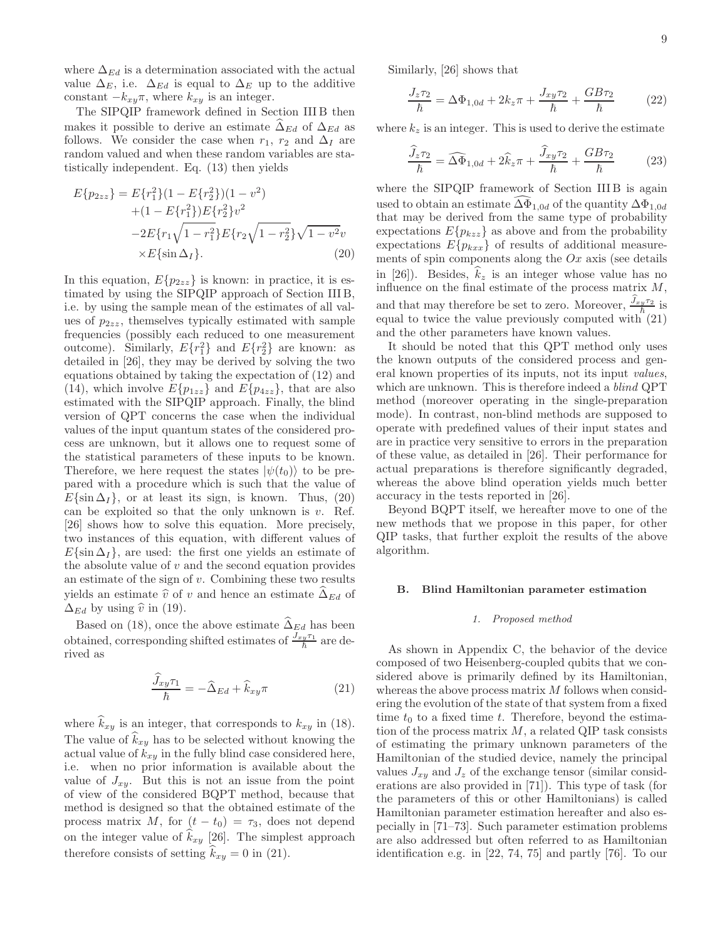where  $\Delta_{Ed}$  is a determination associated with the actual value  $\Delta_E$ , i.e.  $\Delta_{Ed}$  is equal to  $\Delta_E$  up to the additive constant  $-k_{xy}\pi$ , where  $k_{xy}$  is an integer.

The SIPQIP framework defined in Section III B then makes it possible to derive an estimate  $\Delta_{Ed}$  of  $\Delta_{Ed}$  as follows. We consider the case when  $r_1$ ,  $r_2$  and  $\Delta_I$  are random valued and when these random variables are statistically independent. Eq. (13) then yields

$$
E\{p_{2zz}\} = E\{r_1^2\}(1 - E\{r_2^2\})(1 - v^2) + (1 - E\{r_1^2\})E\{r_2^2\}v^2 - 2E\{r_1\sqrt{1 - r_1^2}\}E\{r_2\sqrt{1 - r_2^2}\}\sqrt{1 - v^2}v \times E\{\sin \Delta_I\}.
$$
 (20)

In this equation,  $E\{p_{2zz}\}\$ is known: in practice, it is estimated by using the SIPQIP approach of Section III B, i.e. by using the sample mean of the estimates of all values of  $p_{2zz}$ , themselves typically estimated with sample frequencies (possibly each reduced to one measurement outcome). Similarly,  $E\{r_1^2\}$  and  $E\{r_2^2\}$  are known: as detailed in [26], they may be derived by solving the two equations obtained by taking the expectation of (12) and (14), which involve  $E\{p_{1zz}\}\$  and  $E\{p_{4zz}\}\$ , that are also estimated with the SIPQIP approach. Finally, the blind version of QPT concerns the case when the individual values of the input quantum states of the considered process are unknown, but it allows one to request some of the statistical parameters of these inputs to be known. Therefore, we here request the states  $|\psi(t_0)\rangle$  to be prepared with a procedure which is such that the value of  $E\{\sin \Delta I\}$ , or at least its sign, is known. Thus, (20) can be exploited so that the only unknown is  $v$ . Ref. [26] shows how to solve this equation. More precisely, two instances of this equation, with different values of  $E\{\sin \Delta_I\}$ , are used: the first one yields an estimate of the absolute value of  $v$  and the second equation provides an estimate of the sign of  $v$ . Combining these two results yields an estimate  $\hat{v}$  of v and hence an estimate  $\hat{\Delta}_{Ed}$  of  $\Delta_{Ed}$  by using  $\hat{v}$  in (19).

Based on (18), once the above estimate  $\widehat{\Delta}_{Ed}$  has been obtained, corresponding shifted estimates of  $\frac{J_{xy}\tau_1}{\hbar}$  are derived as

$$
\frac{\widehat{J}_{xy}\tau_1}{\hbar} = -\widehat{\Delta}_{Ed} + \widehat{k}_{xy}\pi \tag{21}
$$

where  $\widehat{k}_{xy}$  is an integer, that corresponds to  $k_{xy}$  in (18). The value of  $k_{xy}$  has to be selected without knowing the actual value of  $k_{xy}$  in the fully blind case considered here, i.e. when no prior information is available about the value of  $J_{xy}$ . But this is not an issue from the point of view of the considered BQPT method, because that method is designed so that the obtained estimate of the process matrix M, for  $(t - t_0) = \tau_3$ , does not depend on the integer value of  $k_{xy}$  [26]. The simplest approach therefore consists of setting  $\hat{k}_{xy} = 0$  in (21).

Similarly, [26] shows that

$$
\frac{J_z \tau_2}{\hbar} = \Delta \Phi_{1,0d} + 2k_z \pi + \frac{J_{xy} \tau_2}{\hbar} + \frac{GB \tau_2}{\hbar}
$$
(22)

where  $k_z$  is an integer. This is used to derive the estimate

$$
\frac{\widehat{J}_z \tau_2}{\hbar} = \widehat{\Delta \Phi}_{1,0d} + 2\widehat{k}_z \pi + \frac{\widehat{J}_{xy} \tau_2}{\hbar} + \frac{GB \tau_2}{\hbar} \tag{23}
$$

where the SIPQIP framework of Section III B is again used to obtain an estimate  $\Delta\Phi_{1,0d}$  of the quantity  $\Delta\Phi_{1,0d}$ that may be derived from the same type of probability expectations  $E\{p_{kzz}\}\)$  as above and from the probability expectations  $E\{p_{kxx}\}\$  of results of additional measurements of spin components along the  $Ox$  axis (see details in [26]). Besides,  $\hat{k}_z$  is an integer whose value has no influence on the final estimate of the process matrix  $M$ , and that may therefore be set to zero. Moreover,  $\frac{\hat{J}_{xy}\tau_2}{\hbar}$  is equal to twice the value previously computed with  $(21)$ and the other parameters have known values.

It should be noted that this QPT method only uses the known outputs of the considered process and general known properties of its inputs, not its input *values*, which are unknown. This is therefore indeed a *blind* QPT method (moreover operating in the single-preparation mode). In contrast, non-blind methods are supposed to operate with predefined values of their input states and are in practice very sensitive to errors in the preparation of these value, as detailed in [26]. Their performance for actual preparations is therefore significantly degraded, whereas the above blind operation yields much better accuracy in the tests reported in [26].

Beyond BQPT itself, we hereafter move to one of the new methods that we propose in this paper, for other QIP tasks, that further exploit the results of the above algorithm.

#### B. Blind Hamiltonian parameter estimation

## *1. Proposed method*

As shown in Appendix C, the behavior of the device composed of two Heisenberg-coupled qubits that we considered above is primarily defined by its Hamiltonian, whereas the above process matrix M follows when considering the evolution of the state of that system from a fixed time  $t_0$  to a fixed time t. Therefore, beyond the estimation of the process matrix  $M$ , a related QIP task consists of estimating the primary unknown parameters of the Hamiltonian of the studied device, namely the principal values  $J_{xy}$  and  $J_z$  of the exchange tensor (similar considerations are also provided in [71]). This type of task (for the parameters of this or other Hamiltonians) is called Hamiltonian parameter estimation hereafter and also especially in [71–73]. Such parameter estimation problems are also addressed but often referred to as Hamiltonian identification e.g. in [22, 74, 75] and partly [76]. To our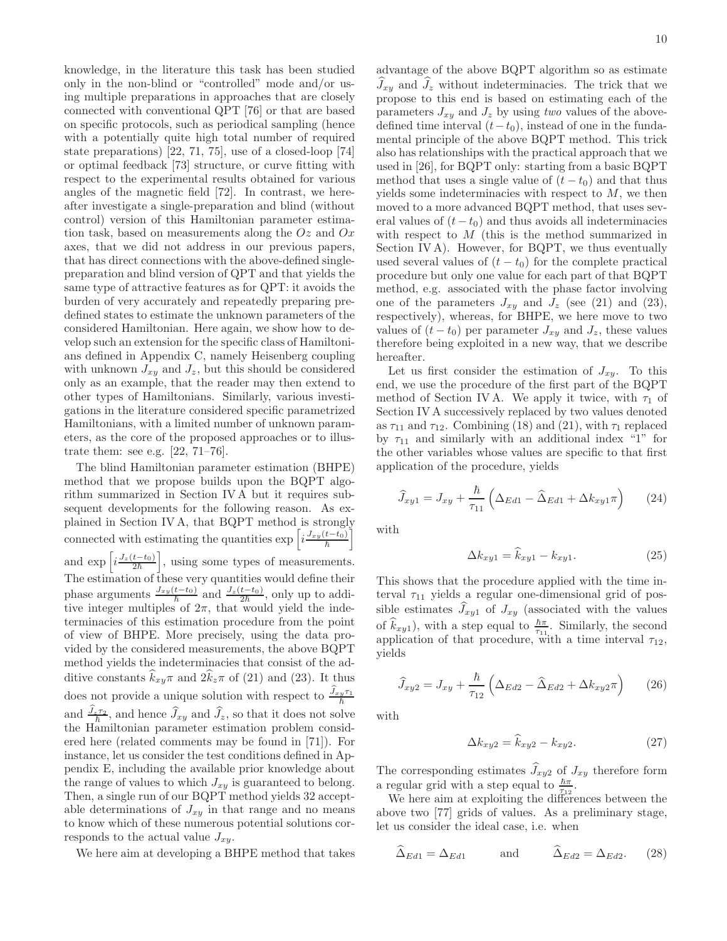knowledge, in the literature this task has been studied only in the non-blind or "controlled" mode and/or using multiple preparations in approaches that are closely connected with conventional QPT [76] or that are based on specific protocols, such as periodical sampling (hence with a potentially quite high total number of required state preparations) [22, 71, 75], use of a closed-loop [74] or optimal feedback [73] structure, or curve fitting with respect to the experimental results obtained for various angles of the magnetic field [72]. In contrast, we hereafter investigate a single-preparation and blind (without control) version of this Hamiltonian parameter estimation task, based on measurements along the  $Oz$  and  $Ox$ axes, that we did not address in our previous papers, that has direct connections with the above-defined singlepreparation and blind version of QPT and that yields the same type of attractive features as for QPT: it avoids the burden of very accurately and repeatedly preparing predefined states to estimate the unknown parameters of the considered Hamiltonian. Here again, we show how to develop such an extension for the specific class of Hamiltonians defined in Appendix C, namely Heisenberg coupling with unknown  $J_{xy}$  and  $J_z$ , but this should be considered only as an example, that the reader may then extend to other types of Hamiltonians. Similarly, various investigations in the literature considered specific parametrized Hamiltonians, with a limited number of unknown parameters, as the core of the proposed approaches or to illustrate them: see e.g. [22, 71–76].

The blind Hamiltonian parameter estimation (BHPE) method that we propose builds upon the BQPT algorithm summarized in Section IV A but it requires subsequent developments for the following reason. As explained in Section IV A, that BQPT method is strongly connected with estimating the quantities  $\exp\left[i\frac{J_{xy}(t-t_0)}{\hbar}\right]$ and  $\exp\left[i\frac{J_z(t-t_0)}{2\hbar}\right]$ i , using some types of measurements. The estimation of these very quantities would define their phase arguments  $\frac{J_{xy}(t-t_0)}{\hbar}$  and  $\frac{J_z(t-t_0)}{2\hbar}$ , only up to additive integer multiples of  $2\pi$ , that would yield the indeterminacies of this estimation procedure from the point of view of BHPE. More precisely, using the data provided by the considered measurements, the above BQPT method yields the indeterminacies that consist of the additive constants  $k_{xy}\pi$  and  $2k_z\pi$  of (21) and (23). It thus does not provide a unique solution with respect to  $\frac{\widehat{J}_{xy}\tau_1}{\hbar}$ and  $\frac{\widehat{J}_{z} \tau_2}{\hbar}$ , and hence  $\widehat{J}_{xy}$  and  $\widehat{J}_z$ , so that it does not solve the Hamiltonian parameter estimation problem considered here (related comments may be found in [71]). For instance, let us consider the test conditions defined in Appendix E, including the available prior knowledge about the range of values to which  $J_{xy}$  is guaranteed to belong. Then, a single run of our BQPT method yields 32 acceptable determinations of  $J_{xy}$  in that range and no means to know which of these numerous potential solutions corresponds to the actual value  $J_{xy}$ .

We here aim at developing a BHPE method that takes

advantage of the above BQPT algorithm so as estimate  $J_{xy}$  and  $J_z$  without indeterminacies. The trick that we propose to this end is based on estimating each of the parameters  $J_{xy}$  and  $J_z$  by using two values of the abovedefined time interval  $(t-t_0)$ , instead of one in the fundamental principle of the above BQPT method. This trick also has relationships with the practical approach that we used in [26], for BQPT only: starting from a basic BQPT method that uses a single value of  $(t - t_0)$  and that thus yields some indeterminacies with respect to  $M$ , we then moved to a more advanced BQPT method, that uses several values of  $(t - t_0)$  and thus avoids all indeterminacies with respect to M (this is the method summarized in Section IV A). However, for BQPT, we thus eventually used several values of  $(t - t_0)$  for the complete practical procedure but only one value for each part of that BQPT method, e.g. associated with the phase factor involving one of the parameters  $J_{xy}$  and  $J_z$  (see (21) and (23), respectively), whereas, for BHPE, we here move to two values of  $(t - t_0)$  per parameter  $J_{xy}$  and  $J_z$ , these values therefore being exploited in a new way, that we describe hereafter.

Let us first consider the estimation of  $J_{xy}$ . To this end, we use the procedure of the first part of the BQPT method of Section IV A. We apply it twice, with  $\tau_1$  of Section IV A successively replaced by two values denoted as  $\tau_{11}$  and  $\tau_{12}$ . Combining (18) and (21), with  $\tau_1$  replaced by  $\tau_{11}$  and similarly with an additional index "1" for the other variables whose values are specific to that first application of the procedure, yields

$$
\widehat{J}_{xy1} = J_{xy} + \frac{\hbar}{\tau_{11}} \left( \Delta_{Ed1} - \widehat{\Delta}_{Ed1} + \Delta k_{xy1} \pi \right) \tag{24}
$$

with

$$
\Delta k_{xy1} = \hat{k}_{xy1} - k_{xy1}.\tag{25}
$$

This shows that the procedure applied with the time interval  $\tau_{11}$  yields a regular one-dimensional grid of possible estimates  $\widehat{J}_{xy1}$  of  $J_{xy}$  (associated with the values of  $\hat{k}_{xy1}$ , with a step equal to  $\frac{\hbar\pi}{\tau_{11}}$ . Similarly, the second application of that procedure, with a time interval  $\tau_{12}$ , yields

$$
\widehat{J}_{xy2} = J_{xy} + \frac{\hbar}{\tau_{12}} \left( \Delta_{Ed2} - \widehat{\Delta}_{Ed2} + \Delta k_{xy2} \pi \right) \tag{26}
$$

with

$$
\Delta k_{xy2} = \hat{k}_{xy2} - k_{xy2}.\tag{27}
$$

The corresponding estimates  $\hat{J}_{xy2}$  of  $J_{xy}$  therefore form a regular grid with a step equal to  $\frac{\hbar\pi}{\tau_{12}}$ .

We here aim at exploiting the differences between the above two [77] grids of values. As a preliminary stage, let us consider the ideal case, i.e. when

$$
\widehat{\Delta}_{Ed1} = \Delta_{Ed1} \quad \text{and} \quad \widehat{\Delta}_{Ed2} = \Delta_{Ed2}. \quad (28)
$$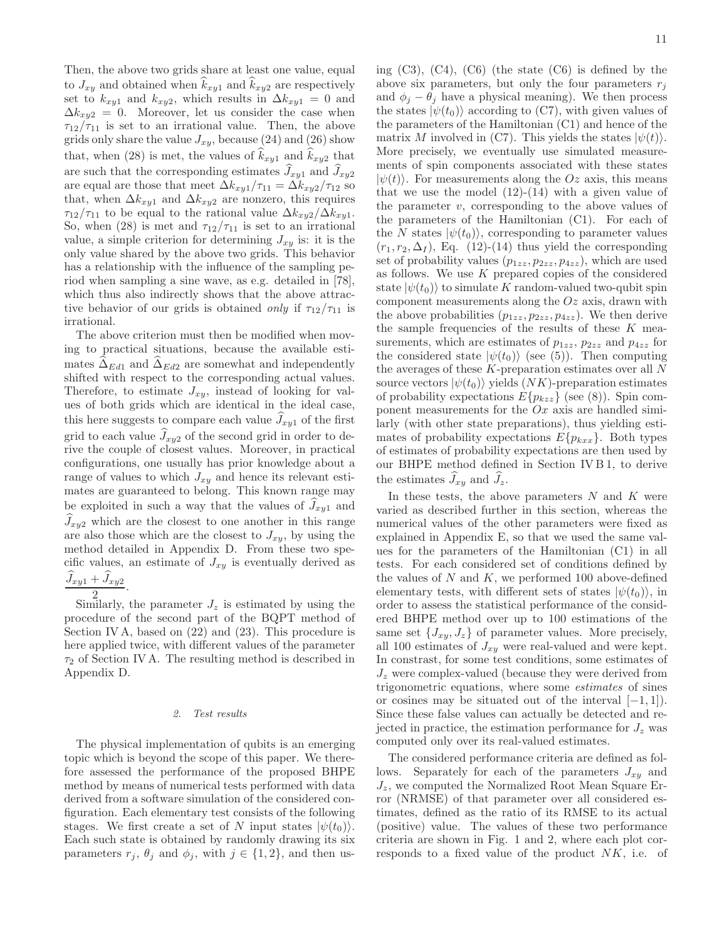Then, the above two grids share at least one value, equal to  $J_{xy}$  and obtained when  $k_{xy1}$  and  $k_{xy2}$  are respectively set to  $k_{xy1}$  and  $k_{xy2}$ , which results in  $\Delta k_{xy1} = 0$  and  $\Delta k_{xy2} = 0$ . Moreover, let us consider the case when  $\tau_{12}/\tau_{11}$  is set to an irrational value. Then, the above grids only share the value  $J_{xy}$ , because (24) and (26) show that, when (28) is met, the values of  $\hat{k}_{xy1}$  and  $\hat{k}_{xy2}$  that are such that the corresponding estimates  $\widehat{J}_{xy1}$  and  $\widehat{J}_{xy2}$ are equal are those that meet  $\Delta k_{xy1}/\tau_{11} = \Delta k_{xy2}/\tau_{12}$  so that, when  $\Delta k_{xy1}$  and  $\Delta k_{xy2}$  are nonzero, this requires  $\tau_{12}/\tau_{11}$  to be equal to the rational value  $\Delta k_{xy2}/\Delta k_{xy1}$ . So, when (28) is met and  $\tau_{12}/\tau_{11}$  is set to an irrational value, a simple criterion for determining  $J_{xy}$  is: it is the only value shared by the above two grids. This behavior has a relationship with the influence of the sampling period when sampling a sine wave, as e.g. detailed in [78], which thus also indirectly shows that the above attractive behavior of our grids is obtained *only* if  $\tau_{12}/\tau_{11}$  is irrational.

The above criterion must then be modified when moving to practical situations, because the available estimates  $\Delta_{Ed1}$  and  $\Delta_{Ed2}$  are somewhat and independently shifted with respect to the corresponding actual values. Therefore, to estimate  $J_{xy}$ , instead of looking for values of both grids which are identical in the ideal case, this here suggests to compare each value  $J_{xy1}$  of the first grid to each value  $J_{xy2}$  of the second grid in order to derive the couple of closest values. Moreover, in practical configurations, one usually has prior knowledge about a range of values to which  $J_{xy}$  and hence its relevant estimates are guaranteed to belong. This known range may be exploited in such a way that the values of  $J_{xy1}$  and  $\hat{J}_{xy2}$  which are the closest to one another in this range are also those which are the closest to  $J_{xy}$ , by using the method detailed in Appendix D. From these two specific values, an estimate of  $J_{xy}$  is eventually derived as  $\frac{J_{xy1}+J_{xy2}}{2}.$ 

2 Similarly, the parameter  $J_z$  is estimated by using the procedure of the second part of the BQPT method of Section IV A, based on (22) and (23). This procedure is here applied twice, with different values of the parameter  $\tau_2$  of Section IV A. The resulting method is described in Appendix D.

#### *2. Test results*

The physical implementation of qubits is an emerging topic which is beyond the scope of this paper. We therefore assessed the performance of the proposed BHPE method by means of numerical tests performed with data derived from a software simulation of the considered configuration. Each elementary test consists of the following stages. We first create a set of N input states  $|\psi(t_0)\rangle$ . Each such state is obtained by randomly drawing its six parameters  $r_j$ ,  $\theta_j$  and  $\phi_j$ , with  $j \in \{1, 2\}$ , and then using  $(C3)$ ,  $(C4)$ ,  $(C6)$  (the state  $(C6)$ ) is defined by the above six parameters, but only the four parameters  $r_i$ and  $\phi_j - \theta_j$  have a physical meaning). We then process the states  $|\psi(t_0)\rangle$  according to (C7), with given values of the parameters of the Hamiltonian (C1) and hence of the matrix M involved in (C7). This yields the states  $|\psi(t)\rangle$ . More precisely, we eventually use simulated measurements of spin components associated with these states  $|\psi(t)\rangle$ . For measurements along the Oz axis, this means that we use the model  $(12)-(14)$  with a given value of the parameter  $v$ , corresponding to the above values of the parameters of the Hamiltonian (C1). For each of the N states  $|\psi(t_0)\rangle$ , corresponding to parameter values  $(r_1, r_2, \Delta_I)$ , Eq. (12)-(14) thus yield the corresponding set of probability values  $(p_{1zz}, p_{2zz}, p_{4zz})$ , which are used as follows. We use  $K$  prepared copies of the considered state  $|\psi(t_0)\rangle$  to simulate K random-valued two-qubit spin component measurements along the  $Oz$  axis, drawn with the above probabilities  $(p_{1zz}, p_{2zz}, p_{4zz})$ . We then derive the sample frequencies of the results of these  $K$  measurements, which are estimates of  $p_{1zz}$ ,  $p_{2zz}$  and  $p_{4zz}$  for the considered state  $|\psi(t_0)\rangle$  (see (5)). Then computing the averages of these  $K$ -preparation estimates over all  $N$ source vectors  $|\psi(t_0)\rangle$  yields  $(NK)$ -preparation estimates of probability expectations  $E\{p_{kzz}\}\$  (see (8)). Spin component measurements for the  $Ox$  axis are handled similarly (with other state preparations), thus yielding estimates of probability expectations  $E\{p_{kxx}\}\.$  Both types of estimates of probability expectations are then used by our BHPE method defined in Section IV B 1, to derive the estimates  $J_{xy}$  and  $J_z$ .

In these tests, the above parameters  $N$  and  $K$  were varied as described further in this section, whereas the numerical values of the other parameters were fixed as explained in Appendix E, so that we used the same values for the parameters of the Hamiltonian (C1) in all tests. For each considered set of conditions defined by the values of  $N$  and  $K$ , we performed 100 above-defined elementary tests, with different sets of states  $|\psi(t_0)\rangle$ , in order to assess the statistical performance of the considered BHPE method over up to 100 estimations of the same set  $\{J_{xy}, J_z\}$  of parameter values. More precisely, all 100 estimates of  $J_{xy}$  were real-valued and were kept. In constrast, for some test conditions, some estimates of  $J_z$  were complex-valued (because they were derived from trigonometric equations, where some estimates of sines or cosines may be situated out of the interval  $[-1, 1]$ . Since these false values can actually be detected and rejected in practice, the estimation performance for  $J_z$  was computed only over its real-valued estimates.

The considered performance criteria are defined as follows. Separately for each of the parameters  $J_{xy}$  and  $J_z$ , we computed the Normalized Root Mean Square Error (NRMSE) of that parameter over all considered estimates, defined as the ratio of its RMSE to its actual (positive) value. The values of these two performance criteria are shown in Fig. 1 and 2, where each plot corresponds to a fixed value of the product  $NK$ , i.e. of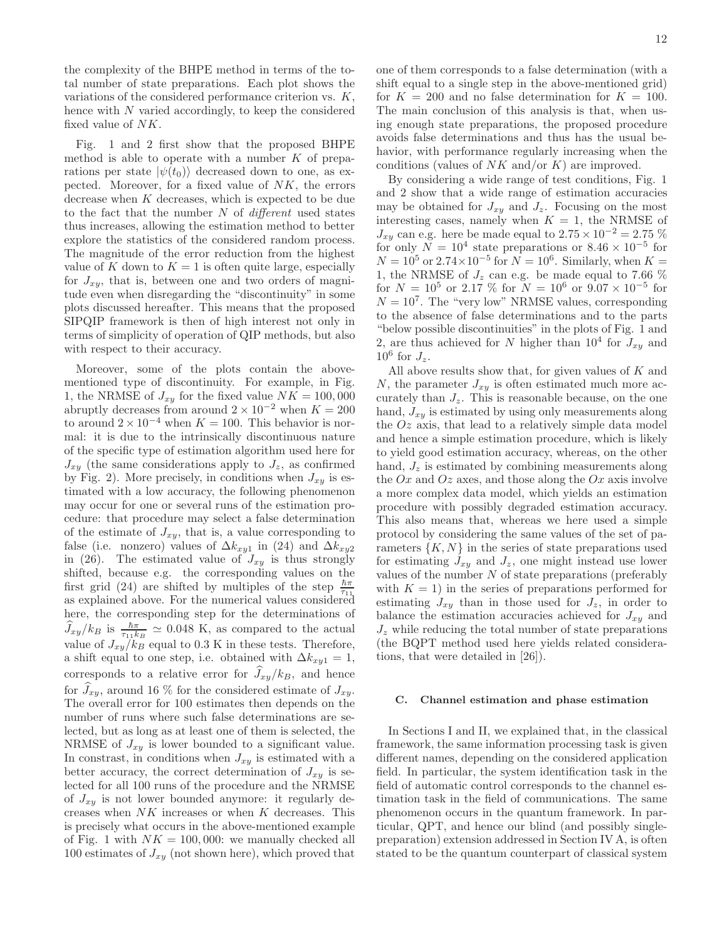the complexity of the BHPE method in terms of the total number of state preparations. Each plot shows the variations of the considered performance criterion vs. K, hence with N varied accordingly, to keep the considered fixed value of NK.

Fig. 1 and 2 first show that the proposed BHPE method is able to operate with a number  $K$  of preparations per state  $|\psi(t_0)\rangle$  decreased down to one, as expected. Moreover, for a fixed value of NK, the errors decrease when K decreases, which is expected to be due to the fact that the number  $N$  of *different* used states thus increases, allowing the estimation method to better explore the statistics of the considered random process. The magnitude of the error reduction from the highest value of K down to  $K = 1$  is often quite large, especially for  $J_{xy}$ , that is, between one and two orders of magnitude even when disregarding the "discontinuity" in some plots discussed hereafter. This means that the proposed SIPQIP framework is then of high interest not only in terms of simplicity of operation of QIP methods, but also with respect to their accuracy.

Moreover, some of the plots contain the abovementioned type of discontinuity. For example, in Fig. 1, the NRMSE of  $J_{xy}$  for the fixed value  $NK = 100,000$ abruptly decreases from around  $2 \times 10^{-2}$  when  $K = 200$ to around  $2 \times 10^{-4}$  when  $K = 100$ . This behavior is normal: it is due to the intrinsically discontinuous nature of the specific type of estimation algorithm used here for  $J_{xy}$  (the same considerations apply to  $J_z$ , as confirmed by Fig. 2). More precisely, in conditions when  $J_{xy}$  is estimated with a low accuracy, the following phenomenon may occur for one or several runs of the estimation procedure: that procedure may select a false determination of the estimate of  $J_{xy}$ , that is, a value corresponding to false (i.e. nonzero) values of  $\Delta k_{xy1}$  in (24) and  $\Delta k_{xy2}$ in (26). The estimated value of  $J_{xy}$  is thus strongly shifted, because e.g. the corresponding values on the first grid (24) are shifted by multiples of the step  $\frac{\hbar\pi}{\tau_{11}}$ as explained above. For the numerical values considered here, the corresponding step for the determinations of  $\hat{J}_{xy}/k_B$  is  $\frac{\hbar\pi}{\tau_{11}k_B} \simeq 0.048$  K, as compared to the actual value of  $J_{xy}/k_B$  equal to 0.3 K in these tests. Therefore, a shift equal to one step, i.e. obtained with  $\Delta k_{xy1} = 1$ , corresponds to a relative error for  $J_{xy}/k_B$ , and hence for  $\tilde{J}_{xy}$ , around 16 % for the considered estimate of  $J_{xy}$ . The overall error for 100 estimates then depends on the number of runs where such false determinations are selected, but as long as at least one of them is selected, the NRMSE of  $J_{xy}$  is lower bounded to a significant value. In constrast, in conditions when  $J_{xy}$  is estimated with a better accuracy, the correct determination of  $J_{xy}$  is selected for all 100 runs of the procedure and the NRMSE of  $J_{xy}$  is not lower bounded anymore: it regularly decreases when NK increases or when K decreases. This is precisely what occurs in the above-mentioned example of Fig. 1 with  $NK = 100,000$ : we manually checked all 100 estimates of  $J_{xy}$  (not shown here), which proved that

one of them corresponds to a false determination (with a shift equal to a single step in the above-mentioned grid) for  $K = 200$  and no false determination for  $K = 100$ . The main conclusion of this analysis is that, when using enough state preparations, the proposed procedure avoids false determinations and thus has the usual behavior, with performance regularly increasing when the conditions (values of  $NK$  and/or K) are improved.

By considering a wide range of test conditions, Fig. 1 and 2 show that a wide range of estimation accuracies may be obtained for  $J_{xy}$  and  $J_z$ . Focusing on the most interesting cases, namely when  $K = 1$ , the NRMSE of  $J_{xy}$  can e.g. here be made equal to  $2.75 \times 10^{-2} = 2.75\%$ for only  $N = 10^4$  state preparations or  $8.46 \times 10^{-5}$  for  $N = 10^5$  or  $2.74 \times 10^{-5}$  for  $N = 10^6$ . Similarly, when  $K =$ 1, the NRMSE of  $J_z$  can e.g. be made equal to 7.66  $%$ for  $N = 10^5$  or 2.17 % for  $N = 10^6$  or  $9.07 \times 10^{-5}$  for  $N = 10<sup>7</sup>$ . The "very low" NRMSE values, corresponding to the absence of false determinations and to the parts "below possible discontinuities" in the plots of Fig. 1 and 2, are thus achieved for N higher than  $10^4$  for  $J_{xy}$  and  $10^6$  for  $J_z$ .

All above results show that, for given values of  $K$  and N, the parameter  $J_{xy}$  is often estimated much more accurately than  $J_z$ . This is reasonable because, on the one hand,  $J_{xy}$  is estimated by using only measurements along the  $Oz$  axis, that lead to a relatively simple data model and hence a simple estimation procedure, which is likely to yield good estimation accuracy, whereas, on the other hand,  $J_z$  is estimated by combining measurements along the  $Ox$  and  $Oz$  axes, and those along the  $Ox$  axis involve a more complex data model, which yields an estimation procedure with possibly degraded estimation accuracy. This also means that, whereas we here used a simple protocol by considering the same values of the set of parameters  $\{K, N\}$  in the series of state preparations used for estimating  $J_{xy}$  and  $J_z$ , one might instead use lower values of the number  $N$  of state preparations (preferably with  $K = 1$ ) in the series of preparations performed for estimating  $J_{xy}$  than in those used for  $J_z$ , in order to balance the estimation accuracies achieved for  $J_{x,y}$  and  $J<sub>z</sub>$  while reducing the total number of state preparations (the BQPT method used here yields related considerations, that were detailed in [26]).

## C. Channel estimation and phase estimation

In Sections I and II, we explained that, in the classical framework, the same information processing task is given different names, depending on the considered application field. In particular, the system identification task in the field of automatic control corresponds to the channel estimation task in the field of communications. The same phenomenon occurs in the quantum framework. In particular, QPT, and hence our blind (and possibly singlepreparation) extension addressed in Section IV A, is often stated to be the quantum counterpart of classical system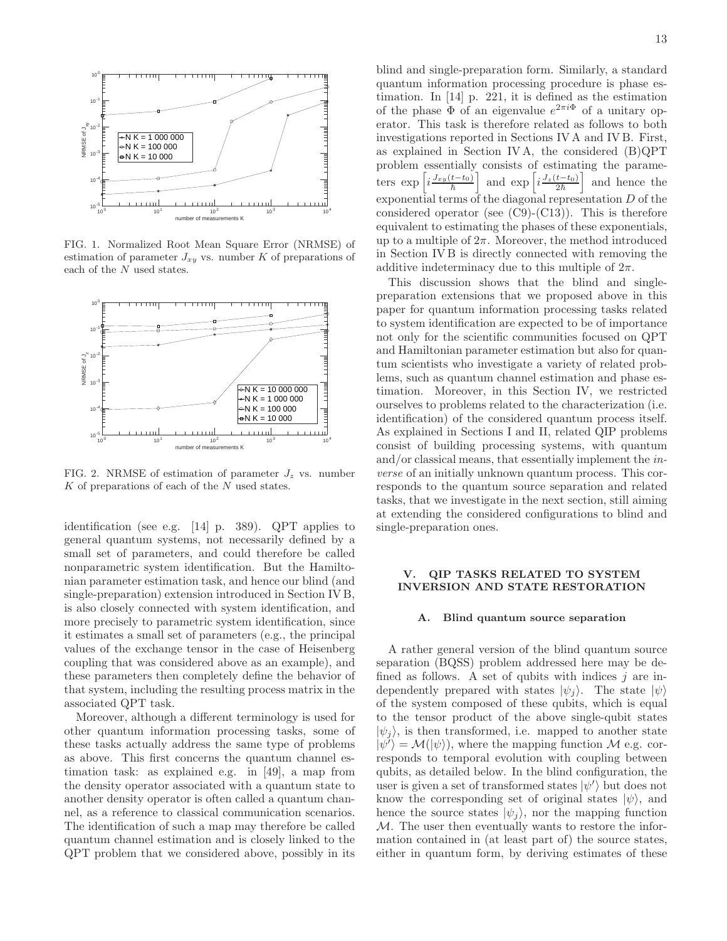

FIG. 1. Normalized Root Mean Square Error (NRMSE) of estimation of parameter  $J_{xy}$  vs. number K of preparations of each of the N used states.



FIG. 2. NRMSE of estimation of parameter  $J_z$  vs. number K of preparations of each of the N used states.

identification (see e.g. [14] p. 389). QPT applies to general quantum systems, not necessarily defined by a small set of parameters, and could therefore be called nonparametric system identification. But the Hamiltonian parameter estimation task, and hence our blind (and single-preparation) extension introduced in Section IV B, is also closely connected with system identification, and more precisely to parametric system identification, since it estimates a small set of parameters (e.g., the principal values of the exchange tensor in the case of Heisenberg coupling that was considered above as an example), and these parameters then completely define the behavior of that system, including the resulting process matrix in the associated QPT task.

Moreover, although a different terminology is used for other quantum information processing tasks, some of these tasks actually address the same type of problems as above. This first concerns the quantum channel estimation task: as explained e.g. in [49], a map from the density operator associated with a quantum state to another density operator is often called a quantum channel, as a reference to classical communication scenarios. The identification of such a map may therefore be called quantum channel estimation and is closely linked to the QPT problem that we considered above, possibly in its

blind and single-preparation form. Similarly, a standard quantum information processing procedure is phase estimation. In [14] p. 221, it is defined as the estimation of the phase  $\Phi$  of an eigenvalue  $e^{2\pi i \Phi}$  of a unitary operator. This task is therefore related as follows to both investigations reported in Sections IV A and IV B. First, as explained in Section IV A, the considered (B)QPT problem essentially consists of estimating the parameters exp  $i\frac{J_{xy}(t-t_0)}{\hbar}$ i and  $\exp\left[i\frac{J_z(t-t_0)}{2\hbar}\right]$ i and hence the exponential terms of the diagonal representation D of the considered operator (see  $(C9)-(C13)$ ). This is therefore equivalent to estimating the phases of these exponentials, up to a multiple of  $2\pi$ . Moreover, the method introduced in Section IV B is directly connected with removing the additive indeterminacy due to this multiple of  $2\pi$ .

This discussion shows that the blind and singlepreparation extensions that we proposed above in this paper for quantum information processing tasks related to system identification are expected to be of importance not only for the scientific communities focused on QPT and Hamiltonian parameter estimation but also for quantum scientists who investigate a variety of related problems, such as quantum channel estimation and phase estimation. Moreover, in this Section IV, we restricted ourselves to problems related to the characterization (i.e. identification) of the considered quantum process itself. As explained in Sections I and II, related QIP problems consist of building processing systems, with quantum and/or classical means, that essentially implement the inverse of an initially unknown quantum process. This corresponds to the quantum source separation and related tasks, that we investigate in the next section, still aiming at extending the considered configurations to blind and single-preparation ones.

## V. QIP TASKS RELATED TO SYSTEM INVERSION AND STATE RESTORATION

#### A. Blind quantum source separation

A rather general version of the blind quantum source separation (BQSS) problem addressed here may be defined as follows. A set of qubits with indices  $j$  are independently prepared with states  $|\psi_j\rangle$ . The state  $|\psi\rangle$ of the system composed of these qubits, which is equal to the tensor product of the above single-qubit states  $|\psi_i\rangle$ , is then transformed, i.e. mapped to another state  $|\psi'\rangle = \mathcal{M}(|\psi\rangle)$ , where the mapping function  $\mathcal{M}$  e.g. corresponds to temporal evolution with coupling between qubits, as detailed below. In the blind configuration, the user is given a set of transformed states  $|\psi'\rangle$  but does not know the corresponding set of original states  $|\psi\rangle$ , and hence the source states  $|\psi_i\rangle$ , nor the mapping function M. The user then eventually wants to restore the information contained in (at least part of) the source states, either in quantum form, by deriving estimates of these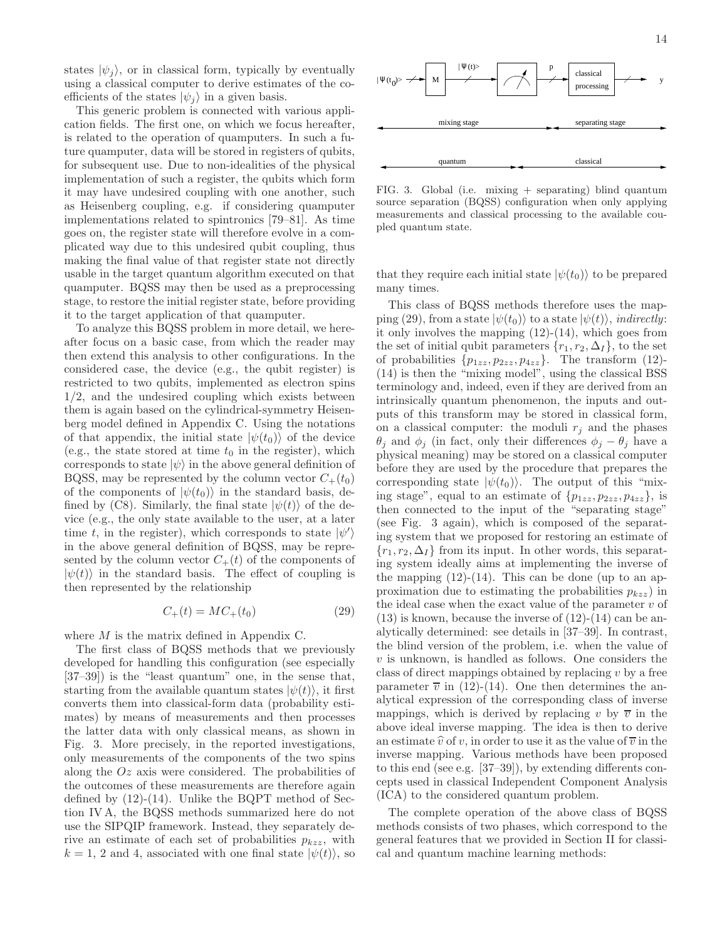states  $|\psi_i\rangle$ , or in classical form, typically by eventually using a classical computer to derive estimates of the coefficients of the states  $|\psi_i\rangle$  in a given basis.

This generic problem is connected with various application fields. The first one, on which we focus hereafter, is related to the operation of quamputers. In such a future quamputer, data will be stored in registers of qubits, for subsequent use. Due to non-idealities of the physical implementation of such a register, the qubits which form it may have undesired coupling with one another, such as Heisenberg coupling, e.g. if considering quamputer implementations related to spintronics [79–81]. As time goes on, the register state will therefore evolve in a complicated way due to this undesired qubit coupling, thus making the final value of that register state not directly usable in the target quantum algorithm executed on that quamputer. BQSS may then be used as a preprocessing stage, to restore the initial register state, before providing it to the target application of that quamputer.

To analyze this BQSS problem in more detail, we hereafter focus on a basic case, from which the reader may then extend this analysis to other configurations. In the considered case, the device (e.g., the qubit register) is restricted to two qubits, implemented as electron spins 1/2, and the undesired coupling which exists between them is again based on the cylindrical-symmetry Heisenberg model defined in Appendix C. Using the notations of that appendix, the initial state  $|\psi(t_0)\rangle$  of the device (e.g., the state stored at time  $t_0$  in the register), which corresponds to state  $|\psi\rangle$  in the above general definition of BQSS, may be represented by the column vector  $C_+(t_0)$ of the components of  $|\psi(t_0)\rangle$  in the standard basis, defined by (C8). Similarly, the final state  $|\psi(t)\rangle$  of the device (e.g., the only state available to the user, at a later time t, in the register), which corresponds to state  $|\psi'\rangle$ in the above general definition of BQSS, may be represented by the column vector  $C_+(t)$  of the components of  $|\psi(t)\rangle$  in the standard basis. The effect of coupling is then represented by the relationship

$$
C_{+}(t) = MC_{+}(t_0)
$$
\n(29)

where M is the matrix defined in Appendix C.

The first class of BQSS methods that we previously developed for handling this configuration (see especially [37–39]) is the "least quantum" one, in the sense that, starting from the available quantum states  $|\psi(t)\rangle$ , it first converts them into classical-form data (probability estimates) by means of measurements and then processes the latter data with only classical means, as shown in Fig. 3. More precisely, in the reported investigations, only measurements of the components of the two spins along the  $Oz$  axis were considered. The probabilities of the outcomes of these measurements are therefore again defined by  $(12)-(14)$ . Unlike the BQPT method of Section IV A, the BQSS methods summarized here do not use the SIPQIP framework. Instead, they separately derive an estimate of each set of probabilities  $p_{kzz}$ , with  $k = 1, 2$  and 4, associated with one final state  $|\psi(t)\rangle$ , so



FIG. 3. Global (i.e. mixing + separating) blind quantum source separation (BQSS) configuration when only applying measurements and classical processing to the available coupled quantum state.

that they require each initial state  $|\psi(t_0)\rangle$  to be prepared many times.

This class of BQSS methods therefore uses the mapping (29), from a state  $|\psi(t_0)\rangle$  to a state  $|\psi(t)\rangle$ , *indirectly*: it only involves the mapping (12)-(14), which goes from the set of initial qubit parameters  $\{r_1, r_2, \Delta_I\}$ , to the set of probabilities  $\{p_{1zz}, p_{2zz}, p_{4zz}\}.$  The transform (12)-(14) is then the "mixing model", using the classical BSS terminology and, indeed, even if they are derived from an intrinsically quantum phenomenon, the inputs and outputs of this transform may be stored in classical form, on a classical computer: the moduli  $r_j$  and the phases  $\theta_i$  and  $\phi_i$  (in fact, only their differences  $\phi_i - \theta_i$  have a physical meaning) may be stored on a classical computer before they are used by the procedure that prepares the corresponding state  $|\psi(t_0)\rangle$ . The output of this "mixing stage", equal to an estimate of  $\{p_{1zz}, p_{2zz}, p_{4zz}\}\$ , is then connected to the input of the "separating stage" (see Fig. 3 again), which is composed of the separating system that we proposed for restoring an estimate of  $\{r_1, r_2, \Delta_I\}$  from its input. In other words, this separating system ideally aims at implementing the inverse of the mapping  $(12)-(14)$ . This can be done (up to an approximation due to estimating the probabilities  $p_{kzz}$ ) in the ideal case when the exact value of the parameter  $v$  of  $(13)$  is known, because the inverse of  $(12)-(14)$  can be analytically determined: see details in [37–39]. In contrast, the blind version of the problem, i.e. when the value of  $v$  is unknown, is handled as follows. One considers the class of direct mappings obtained by replacing  $v$  by a free parameter  $\overline{v}$  in (12)-(14). One then determines the analytical expression of the corresponding class of inverse mappings, which is derived by replacing v by  $\overline{v}$  in the above ideal inverse mapping. The idea is then to derive an estimate  $\hat{v}$  of v, in order to use it as the value of  $\overline{v}$  in the inverse mapping. Various methods have been proposed to this end (see e.g. [37–39]), by extending differents concepts used in classical Independent Component Analysis (ICA) to the considered quantum problem.

The complete operation of the above class of BQSS methods consists of two phases, which correspond to the general features that we provided in Section II for classical and quantum machine learning methods: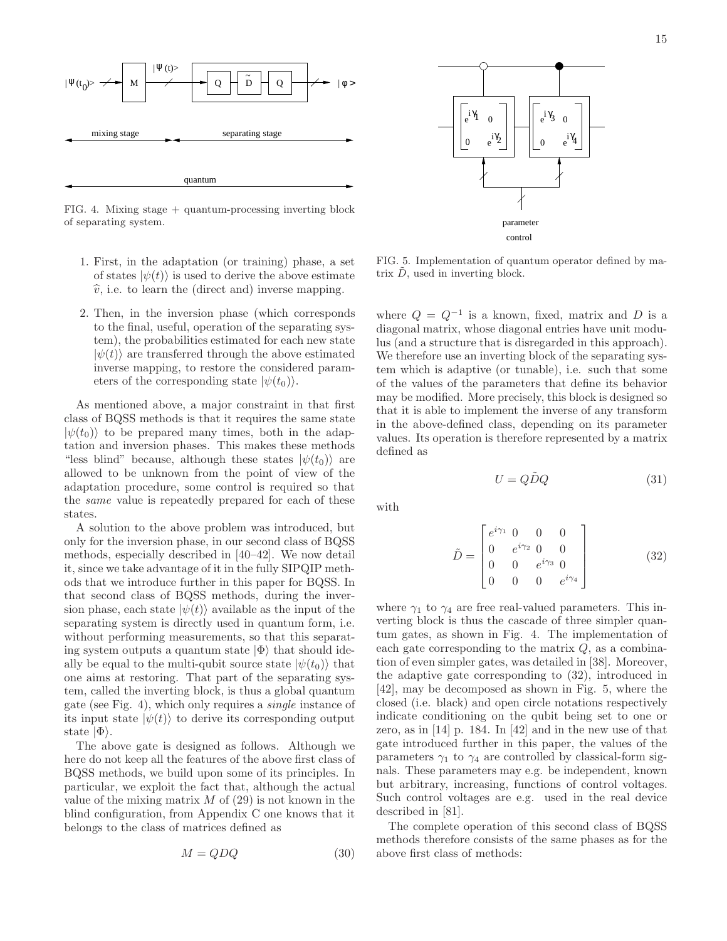

FIG. 4. Mixing stage + quantum-processing inverting block of separating system.

- 1. First, in the adaptation (or training) phase, a set of states  $|\psi(t)\rangle$  is used to derive the above estimate  $\hat{v}$ , i.e. to learn the (direct and) inverse mapping.
- 2. Then, in the inversion phase (which corresponds to the final, useful, operation of the separating system), the probabilities estimated for each new state  $|\psi(t)\rangle$  are transferred through the above estimated inverse mapping, to restore the considered parameters of the corresponding state  $|\psi(t_0)\rangle$ .

As mentioned above, a major constraint in that first class of BQSS methods is that it requires the same state  $|\psi(t_0)\rangle$  to be prepared many times, both in the adaptation and inversion phases. This makes these methods "less blind" because, although these states  $|\psi(t_0)\rangle$  are allowed to be unknown from the point of view of the adaptation procedure, some control is required so that the same value is repeatedly prepared for each of these states.

A solution to the above problem was introduced, but only for the inversion phase, in our second class of BQSS methods, especially described in [40–42]. We now detail it, since we take advantage of it in the fully SIPQIP methods that we introduce further in this paper for BQSS. In that second class of BQSS methods, during the inversion phase, each state  $|\psi(t)\rangle$  available as the input of the separating system is directly used in quantum form, i.e. without performing measurements, so that this separating system outputs a quantum state  $|\Phi\rangle$  that should ideally be equal to the multi-qubit source state  $|\psi(t_0)\rangle$  that one aims at restoring. That part of the separating system, called the inverting block, is thus a global quantum gate (see Fig. 4), which only requires a single instance of its input state  $|\psi(t)\rangle$  to derive its corresponding output state  $|\Phi\rangle$ .

The above gate is designed as follows. Although we here do not keep all the features of the above first class of BQSS methods, we build upon some of its principles. In particular, we exploit the fact that, although the actual value of the mixing matrix  $M$  of (29) is not known in the blind configuration, from Appendix C one knows that it belongs to the class of matrices defined as

$$
M = QDQ \tag{30}
$$



FIG. 5. Implementation of quantum operator defined by matrix  $\tilde{D}$ , used in inverting block.

where  $Q = Q^{-1}$  is a known, fixed, matrix and D is a diagonal matrix, whose diagonal entries have unit modulus (and a structure that is disregarded in this approach). We therefore use an inverting block of the separating system which is adaptive (or tunable), i.e. such that some of the values of the parameters that define its behavior may be modified. More precisely, this block is designed so that it is able to implement the inverse of any transform in the above-defined class, depending on its parameter values. Its operation is therefore represented by a matrix defined as

$$
U = Q\tilde{D}Q\tag{31}
$$

with

$$
\tilde{D} = \begin{bmatrix} e^{i\gamma_1} & 0 & 0 & 0 \\ 0 & e^{i\gamma_2} & 0 & 0 \\ 0 & 0 & e^{i\gamma_3} & 0 \\ 0 & 0 & 0 & e^{i\gamma_4} \end{bmatrix}
$$
(32)

where  $\gamma_1$  to  $\gamma_4$  are free real-valued parameters. This inverting block is thus the cascade of three simpler quantum gates, as shown in Fig. 4. The implementation of each gate corresponding to the matrix  $Q$ , as a combination of even simpler gates, was detailed in [38]. Moreover, the adaptive gate corresponding to (32), introduced in [42], may be decomposed as shown in Fig. 5, where the closed (i.e. black) and open circle notations respectively indicate conditioning on the qubit being set to one or zero, as in [14] p. 184. In [42] and in the new use of that gate introduced further in this paper, the values of the parameters  $\gamma_1$  to  $\gamma_4$  are controlled by classical-form signals. These parameters may e.g. be independent, known but arbitrary, increasing, functions of control voltages. Such control voltages are e.g. used in the real device described in [81].

The complete operation of this second class of BQSS methods therefore consists of the same phases as for the above first class of methods: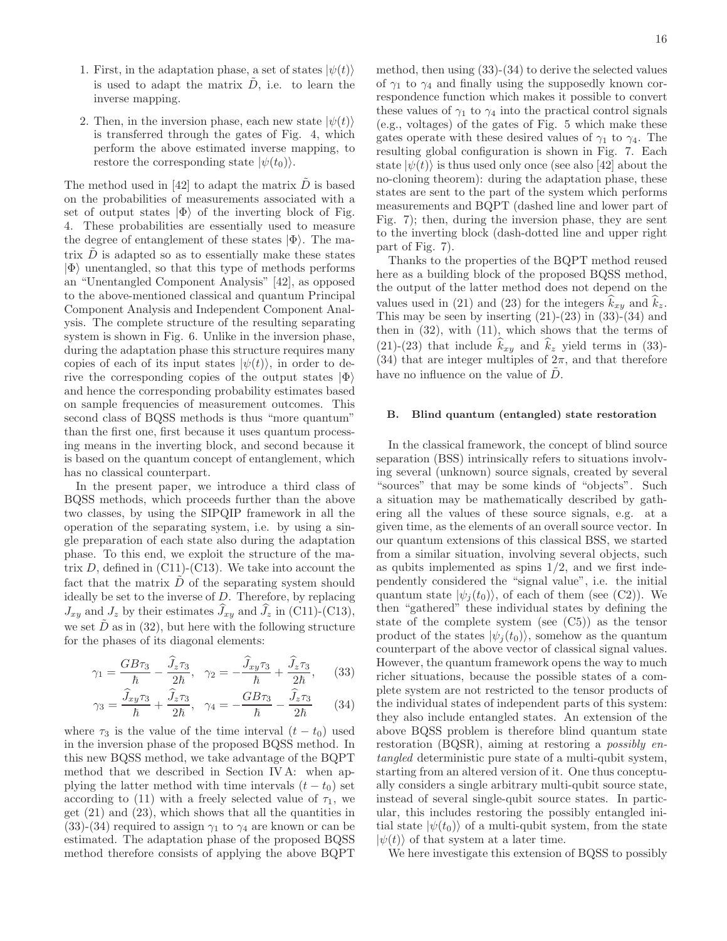- 1. First, in the adaptation phase, a set of states  $|\psi(t)\rangle$ is used to adapt the matrix  $\ddot{D}$ , i.e. to learn the inverse mapping.
- 2. Then, in the inversion phase, each new state  $|\psi(t)\rangle$ is transferred through the gates of Fig. 4, which perform the above estimated inverse mapping, to restore the corresponding state  $|\psi(t_0)\rangle$ .

The method used in [42] to adapt the matrix  $\ddot{D}$  is based on the probabilities of measurements associated with a set of output states  $|\Phi\rangle$  of the inverting block of Fig. 4. These probabilities are essentially used to measure the degree of entanglement of these states  $|\Phi\rangle$ . The matrix  $\tilde{D}$  is adapted so as to essentially make these states  $|\Phi\rangle$  unentangled, so that this type of methods performs an "Unentangled Component Analysis" [42], as opposed to the above-mentioned classical and quantum Principal Component Analysis and Independent Component Analysis. The complete structure of the resulting separating system is shown in Fig. 6. Unlike in the inversion phase, during the adaptation phase this structure requires many copies of each of its input states  $|\psi(t)\rangle$ , in order to derive the corresponding copies of the output states  $|\Phi\rangle$ and hence the corresponding probability estimates based on sample frequencies of measurement outcomes. This second class of BQSS methods is thus "more quantum" than the first one, first because it uses quantum processing means in the inverting block, and second because it is based on the quantum concept of entanglement, which has no classical counterpart.

In the present paper, we introduce a third class of BQSS methods, which proceeds further than the above two classes, by using the SIPQIP framework in all the operation of the separating system, i.e. by using a single preparation of each state also during the adaptation phase. To this end, we exploit the structure of the matrix  $D$ , defined in  $(C11)-(C13)$ . We take into account the fact that the matrix  $\ddot{D}$  of the separating system should ideally be set to the inverse of  $D$ . Therefore, by replacing  $J_{xy}$  and  $J_z$  by their estimates  $J_{xy}$  and  $J_z$  in (C11)-(C13), we set  $\tilde{D}$  as in (32), but here with the following structure for the phases of its diagonal elements:

$$
\gamma_1 = \frac{GB\tau_3}{\hbar} - \frac{\widehat{J}_z\tau_3}{2\hbar}, \quad \gamma_2 = -\frac{\widehat{J}_{xy}\tau_3}{\hbar} + \frac{\widehat{J}_z\tau_3}{2\hbar}, \quad (33)
$$

$$
\gamma_3 = \frac{\tilde{J}_{xy}\tau_3}{\hbar} + \frac{\tilde{J}_z\tau_3}{2\hbar}, \quad \gamma_4 = -\frac{GB\tau_3}{\hbar} - \frac{\tilde{J}_z\tau_3}{2\hbar} \qquad (34)
$$

where  $\tau_3$  is the value of the time interval  $(t - t_0)$  used in the inversion phase of the proposed BQSS method. In this new BQSS method, we take advantage of the BQPT method that we described in Section IV A: when applying the latter method with time intervals  $(t - t_0)$  set according to (11) with a freely selected value of  $\tau_1$ , we get  $(21)$  and  $(23)$ , which shows that all the quantities in (33)-(34) required to assign  $\gamma_1$  to  $\gamma_4$  are known or can be estimated. The adaptation phase of the proposed BQSS method therefore consists of applying the above BQPT

method, then using (33)-(34) to derive the selected values of  $\gamma_1$  to  $\gamma_4$  and finally using the supposedly known correspondence function which makes it possible to convert these values of  $\gamma_1$  to  $\gamma_4$  into the practical control signals (e.g., voltages) of the gates of Fig. 5 which make these gates operate with these desired values of  $\gamma_1$  to  $\gamma_4$ . The resulting global configuration is shown in Fig. 7. Each state  $|\psi(t)\rangle$  is thus used only once (see also [42] about the no-cloning theorem): during the adaptation phase, these states are sent to the part of the system which performs measurements and BQPT (dashed line and lower part of Fig. 7); then, during the inversion phase, they are sent to the inverting block (dash-dotted line and upper right

part of Fig. 7). Thanks to the properties of the BQPT method reused here as a building block of the proposed BQSS method, the output of the latter method does not depend on the values used in (21) and (23) for the integers  $k_{xy}$  and  $k_z$ . This may be seen by inserting  $(21)-(23)$  in  $(33)-(34)$  and then in  $(32)$ , with  $(11)$ , which shows that the terms of (21)-(23) that include  $\hat{k}_{xy}$  and  $\hat{k}_z$  yield terms in (33)-(34) that are integer multiples of  $2\pi$ , and that therefore have no influence on the value of  $D$ .

#### B. Blind quantum (entangled) state restoration

In the classical framework, the concept of blind source separation (BSS) intrinsically refers to situations involving several (unknown) source signals, created by several "sources" that may be some kinds of "objects". Such a situation may be mathematically described by gathering all the values of these source signals, e.g. at a given time, as the elements of an overall source vector. In our quantum extensions of this classical BSS, we started from a similar situation, involving several objects, such as qubits implemented as spins  $1/2$ , and we first independently considered the "signal value", i.e. the initial quantum state  $|\psi_i(t_0)\rangle$ , of each of them (see (C2)). We then "gathered" these individual states by defining the state of the complete system (see (C5)) as the tensor product of the states  $|\psi_i(t_0)\rangle$ , somehow as the quantum counterpart of the above vector of classical signal values. However, the quantum framework opens the way to much richer situations, because the possible states of a complete system are not restricted to the tensor products of the individual states of independent parts of this system: they also include entangled states. An extension of the above BQSS problem is therefore blind quantum state restoration (BQSR), aiming at restoring a possibly entangled deterministic pure state of a multi-qubit system, starting from an altered version of it. One thus conceptually considers a single arbitrary multi-qubit source state, instead of several single-qubit source states. In particular, this includes restoring the possibly entangled initial state  $|\psi(t_0)\rangle$  of a multi-qubit system, from the state  $|\psi(t)\rangle$  of that system at a later time.

We here investigate this extension of BQSS to possibly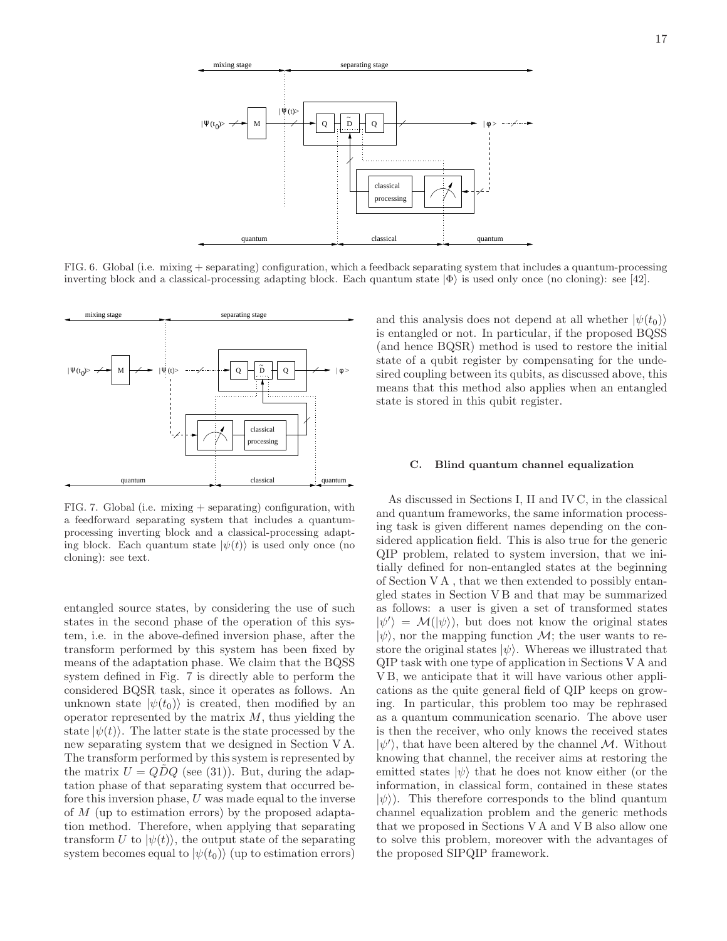

FIG. 6. Global (i.e. mixing + separating) configuration, which a feedback separating system that includes a quantum-processing inverting block and a classical-processing adapting block. Each quantum state  $|\Phi\rangle$  is used only once (no cloning): see [42].



FIG. 7. Global (i.e. mixing  $+$  separating) configuration, with a feedforward separating system that includes a quantumprocessing inverting block and a classical-processing adapting block. Each quantum state  $|\psi(t)\rangle$  is used only once (no cloning): see text.

entangled source states, by considering the use of such states in the second phase of the operation of this system, i.e. in the above-defined inversion phase, after the transform performed by this system has been fixed by means of the adaptation phase. We claim that the BQSS system defined in Fig. 7 is directly able to perform the considered BQSR task, since it operates as follows. An unknown state  $|\psi(t_0)\rangle$  is created, then modified by an operator represented by the matrix  $M$ , thus yielding the state  $|\psi(t)\rangle$ . The latter state is the state processed by the new separating system that we designed in Section V A. The transform performed by this system is represented by the matrix  $U = QDQ$  (see (31)). But, during the adaptation phase of that separating system that occurred before this inversion phase, U was made equal to the inverse of M (up to estimation errors) by the proposed adaptation method. Therefore, when applying that separating transform U to  $|\psi(t)\rangle$ , the output state of the separating system becomes equal to  $|\psi(t_0)\rangle$  (up to estimation errors)

and this analysis does not depend at all whether  $|\psi(t_0)\rangle$ is entangled or not. In particular, if the proposed BQSS (and hence BQSR) method is used to restore the initial state of a qubit register by compensating for the undesired coupling between its qubits, as discussed above, this means that this method also applies when an entangled state is stored in this qubit register.

#### C. Blind quantum channel equalization

As discussed in Sections I, II and IV C, in the classical and quantum frameworks, the same information processing task is given different names depending on the considered application field. This is also true for the generic QIP problem, related to system inversion, that we initially defined for non-entangled states at the beginning of Section V A , that we then extended to possibly entangled states in Section V B and that may be summarized as follows: a user is given a set of transformed states  $|\psi'\rangle = \mathcal{M}(|\psi\rangle)$ , but does not know the original states  $|\psi\rangle$ , nor the mapping function M; the user wants to restore the original states  $|\psi\rangle$ . Whereas we illustrated that QIP task with one type of application in Sections V A and V B, we anticipate that it will have various other applications as the quite general field of QIP keeps on growing. In particular, this problem too may be rephrased as a quantum communication scenario. The above user is then the receiver, who only knows the received states  $|\psi'\rangle$ , that have been altered by the channel M. Without knowing that channel, the receiver aims at restoring the emitted states  $|\psi\rangle$  that he does not know either (or the information, in classical form, contained in these states  $|\psi\rangle$ ). This therefore corresponds to the blind quantum channel equalization problem and the generic methods that we proposed in Sections V A and V B also allow one to solve this problem, moreover with the advantages of the proposed SIPQIP framework.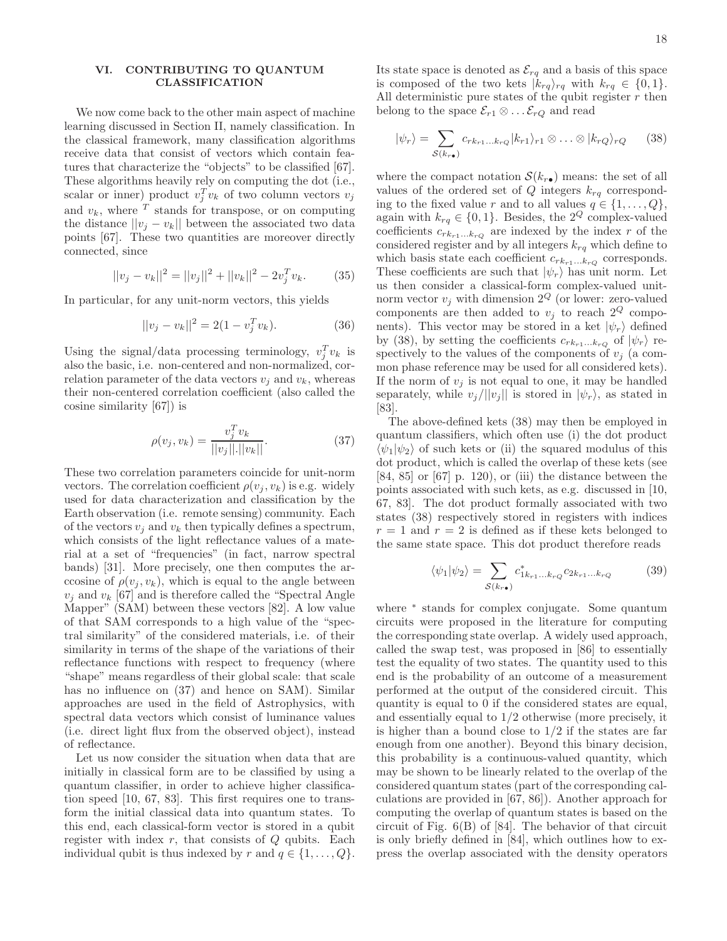# VI. CONTRIBUTING TO QUANTUM CLASSIFICATION

We now come back to the other main aspect of machine learning discussed in Section II, namely classification. In the classical framework, many classification algorithms receive data that consist of vectors which contain features that characterize the "objects" to be classified [67]. These algorithms heavily rely on computing the dot (i.e., scalar or inner) product  $v_j^T v_k$  of two column vectors  $v_j$ and  $v_k$ , where  $T$  stands for transpose, or on computing the distance  $||v_i - v_k||$  between the associated two data points [67]. These two quantities are moreover directly connected, since

$$
||v_j - v_k||^2 = ||v_j||^2 + ||v_k||^2 - 2v_j^T v_k.
$$
 (35)

In particular, for any unit-norm vectors, this yields

$$
||v_j - v_k||^2 = 2(1 - v_j^T v_k).
$$
 (36)

Using the signal/data processing terminology,  $v_j^T v_k$  is also the basic, i.e. non-centered and non-normalized, correlation parameter of the data vectors  $v_i$  and  $v_k$ , whereas their non-centered correlation coefficient (also called the cosine similarity [67]) is

$$
\rho(v_j, v_k) = \frac{v_j^T v_k}{||v_j|| \cdot ||v_k||}.
$$
\n(37)

These two correlation parameters coincide for unit-norm vectors. The correlation coefficient  $\rho(v_i, v_k)$  is e.g. widely used for data characterization and classification by the Earth observation (i.e. remote sensing) community. Each of the vectors  $v_i$  and  $v_k$  then typically defines a spectrum, which consists of the light reflectance values of a material at a set of "frequencies" (in fact, narrow spectral bands) [31]. More precisely, one then computes the arccosine of  $\rho(v_i, v_k)$ , which is equal to the angle between  $v_j$  and  $v_k$  [67] and is therefore called the "Spectral Angle Mapper" (SAM) between these vectors [82]. A low value of that SAM corresponds to a high value of the "spectral similarity" of the considered materials, i.e. of their similarity in terms of the shape of the variations of their reflectance functions with respect to frequency (where "shape" means regardless of their global scale: that scale has no influence on  $(37)$  and hence on SAM). Similar approaches are used in the field of Astrophysics, with spectral data vectors which consist of luminance values (i.e. direct light flux from the observed object), instead of reflectance.

Let us now consider the situation when data that are initially in classical form are to be classified by using a quantum classifier, in order to achieve higher classification speed [10, 67, 83]. This first requires one to transform the initial classical data into quantum states. To this end, each classical-form vector is stored in a qubit register with index  $r$ , that consists of  $Q$  qubits. Each individual qubit is thus indexed by r and  $q \in \{1, \ldots, Q\}.$ 

Its state space is denoted as  $\mathcal{E}_{rq}$  and a basis of this space is composed of the two kets  $|k_{rq}\rangle_{rq}$  with  $k_{rq} \in \{0,1\}.$ All deterministic pure states of the qubit register  $r$  then belong to the space  $\mathcal{E}_{r1} \otimes \ldots \mathcal{E}_{rQ}$  and read

$$
|\psi_r\rangle = \sum_{\mathcal{S}(k_{r\bullet})} c_{rk_{r1}...krQ} |k_{r1}\rangle_{r1} \otimes ... \otimes |k_{rQ}\rangle_{rQ} \qquad (38)
$$

where the compact notation  $\mathcal{S}(k_{r\bullet})$  means: the set of all values of the ordered set of Q integers  $k_{ra}$  corresponding to the fixed value r and to all values  $q \in \{1, \ldots, Q\},\$ again with  $k_{rq} \in \{0, 1\}$ . Besides, the  $2^Q$  complex-valued coefficients  $c_{rk_{r1}\ldots k_{rQ}}$  are indexed by the index  $r$  of the considered register and by all integers  $k_{rq}$  which define to which basis state each coefficient  $c_{rk_{r1}\ldots k_{rQ}}$  corresponds. These coefficients are such that  $|\psi_r\rangle$  has unit norm. Let us then consider a classical-form complex-valued unitnorm vector  $v_i$  with dimension  $2^Q$  (or lower: zero-valued components are then added to  $v_i$  to reach  $2^Q$  components). This vector may be stored in a ket  $|\psi_r\rangle$  defined by (38), by setting the coefficients  $c_{rk_{r1}...k_{rQ}}$  of  $|\psi_r\rangle$  respectively to the values of the components of  $v_i$  (a common phase reference may be used for all considered kets). If the norm of  $v_i$  is not equal to one, it may be handled separately, while  $v_i/||v_i||$  is stored in  $|\psi_r\rangle$ , as stated in [83].

The above-defined kets (38) may then be employed in quantum classifiers, which often use (i) the dot product  $\langle \psi_1 | \psi_2 \rangle$  of such kets or (ii) the squared modulus of this dot product, which is called the overlap of these kets (see  $[84, 85]$  or  $[67]$  p. 120), or (iii) the distance between the points associated with such kets, as e.g. discussed in [10, 67, 83]. The dot product formally associated with two states (38) respectively stored in registers with indices  $r = 1$  and  $r = 2$  is defined as if these kets belonged to the same state space. This dot product therefore reads

$$
\langle \psi_1 | \psi_2 \rangle = \sum_{\mathcal{S}(k_{r\bullet})} c^*_{1k_{r1}...k_{rQ}} c_{2k_{r1}...k_{rQ}} \tag{39}
$$

where <sup>∗</sup> stands for complex conjugate. Some quantum circuits were proposed in the literature for computing the corresponding state overlap. A widely used approach, called the swap test, was proposed in [86] to essentially test the equality of two states. The quantity used to this end is the probability of an outcome of a measurement performed at the output of the considered circuit. This quantity is equal to 0 if the considered states are equal, and essentially equal to 1/2 otherwise (more precisely, it is higher than a bound close to  $1/2$  if the states are far enough from one another). Beyond this binary decision, this probability is a continuous-valued quantity, which may be shown to be linearly related to the overlap of the considered quantum states (part of the corresponding calculations are provided in [67, 86]). Another approach for computing the overlap of quantum states is based on the circuit of Fig. 6(B) of [84]. The behavior of that circuit is only briefly defined in [84], which outlines how to express the overlap associated with the density operators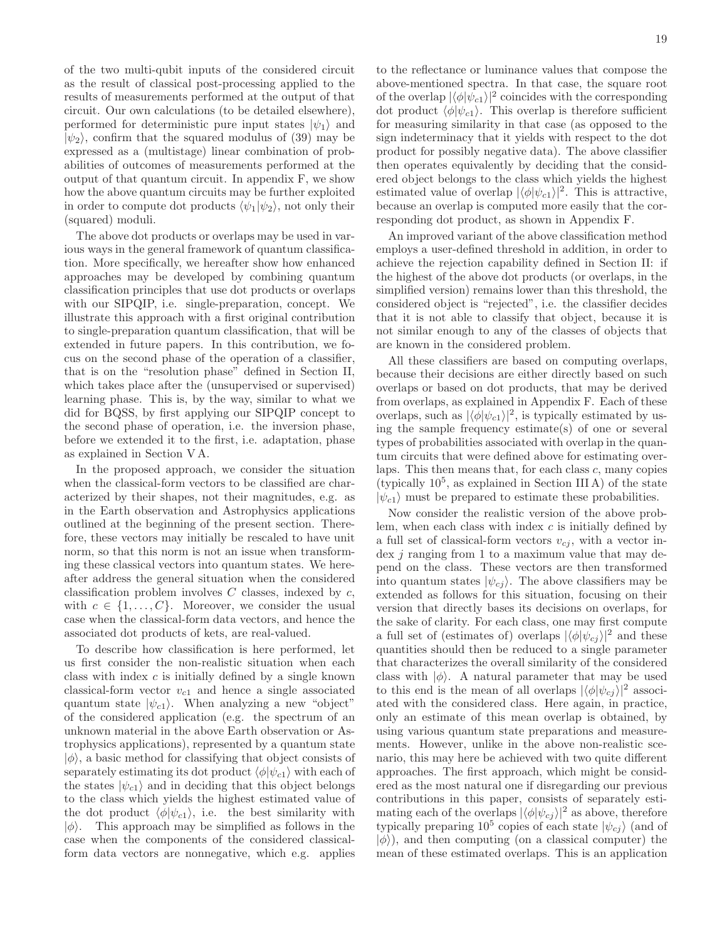of the two multi-qubit inputs of the considered circuit as the result of classical post-processing applied to the results of measurements performed at the output of that circuit. Our own calculations (to be detailed elsewhere), performed for deterministic pure input states  $|\psi_1\rangle$  and  $|\psi_2\rangle$ , confirm that the squared modulus of (39) may be expressed as a (multistage) linear combination of probabilities of outcomes of measurements performed at the output of that quantum circuit. In appendix F, we show how the above quantum circuits may be further exploited in order to compute dot products  $\langle \psi_1 | \psi_2 \rangle$ , not only their (squared) moduli.

The above dot products or overlaps may be used in various ways in the general framework of quantum classification. More specifically, we hereafter show how enhanced approaches may be developed by combining quantum classification principles that use dot products or overlaps with our SIPQIP, i.e. single-preparation, concept. We illustrate this approach with a first original contribution to single-preparation quantum classification, that will be extended in future papers. In this contribution, we focus on the second phase of the operation of a classifier, that is on the "resolution phase" defined in Section II, which takes place after the (unsupervised or supervised) learning phase. This is, by the way, similar to what we did for BQSS, by first applying our SIPQIP concept to the second phase of operation, i.e. the inversion phase, before we extended it to the first, i.e. adaptation, phase as explained in Section V A.

In the proposed approach, we consider the situation when the classical-form vectors to be classified are characterized by their shapes, not their magnitudes, e.g. as in the Earth observation and Astrophysics applications outlined at the beginning of the present section. Therefore, these vectors may initially be rescaled to have unit norm, so that this norm is not an issue when transforming these classical vectors into quantum states. We hereafter address the general situation when the considered classification problem involves  $C$  classes, indexed by  $c$ , with  $c \in \{1, ..., C\}$ . Moreover, we consider the usual case when the classical-form data vectors, and hence the associated dot products of kets, are real-valued.

To describe how classification is here performed, let us first consider the non-realistic situation when each class with index  $c$  is initially defined by a single known classical-form vector  $v_{c1}$  and hence a single associated quantum state  $|\psi_{c1}\rangle$ . When analyzing a new "object" of the considered application (e.g. the spectrum of an unknown material in the above Earth observation or Astrophysics applications), represented by a quantum state  $|\phi\rangle$ , a basic method for classifying that object consists of separately estimating its dot product  $\langle \phi | \psi_{c1} \rangle$  with each of the states  $|\psi_{c1}\rangle$  and in deciding that this object belongs to the class which yields the highest estimated value of the dot product  $\langle \phi | \psi_{c1} \rangle$ , i.e. the best similarity with  $|\phi\rangle$ . This approach may be simplified as follows in the case when the components of the considered classicalform data vectors are nonnegative, which e.g. applies to the reflectance or luminance values that compose the above-mentioned spectra. In that case, the square root of the overlap  $|\langle \phi | \psi_{c1} \rangle|^2$  coincides with the corresponding dot product  $\langle \phi | \psi_{c1} \rangle$ . This overlap is therefore sufficient for measuring similarity in that case (as opposed to the sign indeterminacy that it yields with respect to the dot product for possibly negative data). The above classifier then operates equivalently by deciding that the considered object belongs to the class which yields the highest estimated value of overlap  $|\langle \phi | \psi_{c1} \rangle|^2$ . This is attractive, because an overlap is computed more easily that the corresponding dot product, as shown in Appendix F.

An improved variant of the above classification method employs a user-defined threshold in addition, in order to achieve the rejection capability defined in Section II: if the highest of the above dot products (or overlaps, in the simplified version) remains lower than this threshold, the considered object is "rejected", i.e. the classifier decides that it is not able to classify that object, because it is not similar enough to any of the classes of objects that are known in the considered problem.

All these classifiers are based on computing overlaps, because their decisions are either directly based on such overlaps or based on dot products, that may be derived from overlaps, as explained in Appendix F. Each of these overlaps, such as  $|\langle \phi | \psi_{c1} \rangle|^2$ , is typically estimated by using the sample frequency estimate(s) of one or several types of probabilities associated with overlap in the quantum circuits that were defined above for estimating overlaps. This then means that, for each class  $c$ , many copies (typically  $10^5$ , as explained in Section III A) of the state  $|\psi_{c1}\rangle$  must be prepared to estimate these probabilities.

Now consider the realistic version of the above problem, when each class with index  $c$  is initially defined by a full set of classical-form vectors  $v_{cj}$ , with a vector index *j* ranging from 1 to a maximum value that may depend on the class. These vectors are then transformed into quantum states  $|\psi_{cj}\rangle$ . The above classifiers may be extended as follows for this situation, focusing on their version that directly bases its decisions on overlaps, for the sake of clarity. For each class, one may first compute a full set of (estimates of) overlaps  $|\langle \phi | \psi_{cj} \rangle|^2$  and these quantities should then be reduced to a single parameter that characterizes the overall similarity of the considered class with  $|\phi\rangle$ . A natural parameter that may be used to this end is the mean of all overlaps  $|\langle \phi | \psi_{cj} \rangle|^2$  associated with the considered class. Here again, in practice, only an estimate of this mean overlap is obtained, by using various quantum state preparations and measurements. However, unlike in the above non-realistic scenario, this may here be achieved with two quite different approaches. The first approach, which might be considered as the most natural one if disregarding our previous contributions in this paper, consists of separately estimating each of the overlaps  $|\langle \phi | \psi_{cj} \rangle|^2$  as above, therefore typically preparing  $10^5$  copies of each state  $|\psi_{cj}\rangle$  (and of  $|\phi\rangle$ , and then computing (on a classical computer) the mean of these estimated overlaps. This is an application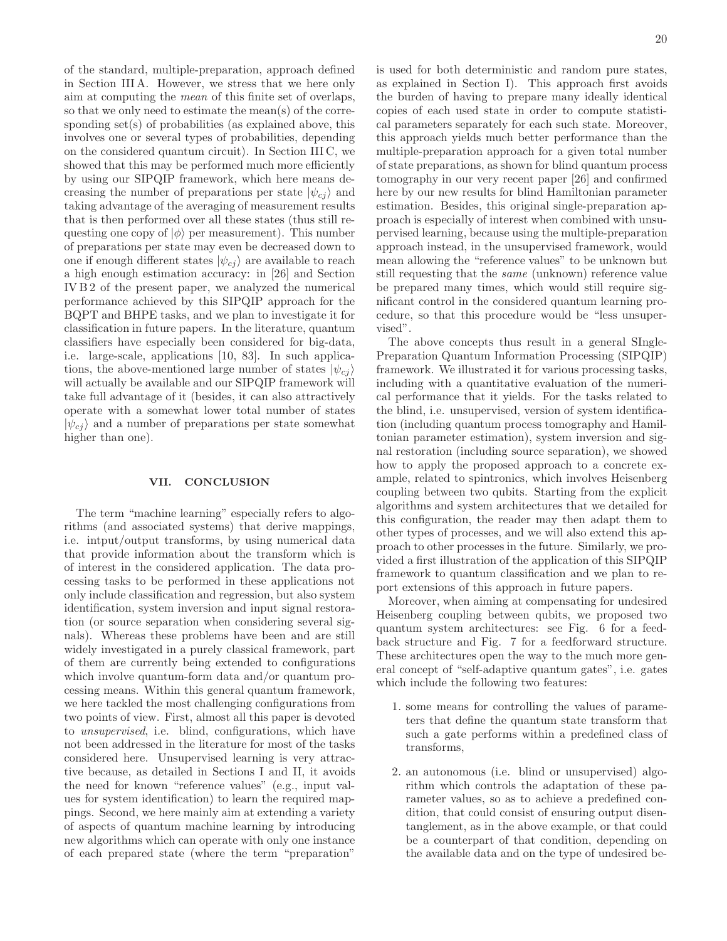of the standard, multiple-preparation, approach defined in Section III A. However, we stress that we here only aim at computing the mean of this finite set of overlaps, so that we only need to estimate the mean(s) of the corresponding set(s) of probabilities (as explained above, this involves one or several types of probabilities, depending on the considered quantum circuit). In Section III C, we showed that this may be performed much more efficiently by using our SIPQIP framework, which here means decreasing the number of preparations per state  $|\psi_{ci}\rangle$  and taking advantage of the averaging of measurement results that is then performed over all these states (thus still requesting one copy of  $|\phi\rangle$  per measurement). This number of preparations per state may even be decreased down to one if enough different states  $|\psi_{cj}\rangle$  are available to reach a high enough estimation accuracy: in [26] and Section IV B 2 of the present paper, we analyzed the numerical performance achieved by this SIPQIP approach for the BQPT and BHPE tasks, and we plan to investigate it for classification in future papers. In the literature, quantum classifiers have especially been considered for big-data, i.e. large-scale, applications [10, 83]. In such applications, the above-mentioned large number of states  $|\psi_{ci}\rangle$ will actually be available and our SIPQIP framework will take full advantage of it (besides, it can also attractively operate with a somewhat lower total number of states  $|\psi_{cj}\rangle$  and a number of preparations per state somewhat higher than one).

## VII. CONCLUSION

The term "machine learning" especially refers to algorithms (and associated systems) that derive mappings, i.e. intput/output transforms, by using numerical data that provide information about the transform which is of interest in the considered application. The data processing tasks to be performed in these applications not only include classification and regression, but also system identification, system inversion and input signal restoration (or source separation when considering several signals). Whereas these problems have been and are still widely investigated in a purely classical framework, part of them are currently being extended to configurations which involve quantum-form data and/or quantum processing means. Within this general quantum framework, we here tackled the most challenging configurations from two points of view. First, almost all this paper is devoted to unsupervised, i.e. blind, configurations, which have not been addressed in the literature for most of the tasks considered here. Unsupervised learning is very attractive because, as detailed in Sections I and II, it avoids the need for known "reference values" (e.g., input values for system identification) to learn the required mappings. Second, we here mainly aim at extending a variety of aspects of quantum machine learning by introducing new algorithms which can operate with only one instance of each prepared state (where the term "preparation"

is used for both deterministic and random pure states, as explained in Section I). This approach first avoids the burden of having to prepare many ideally identical copies of each used state in order to compute statistical parameters separately for each such state. Moreover, this approach yields much better performance than the multiple-preparation approach for a given total number of state preparations, as shown for blind quantum process tomography in our very recent paper [26] and confirmed here by our new results for blind Hamiltonian parameter estimation. Besides, this original single-preparation approach is especially of interest when combined with unsupervised learning, because using the multiple-preparation approach instead, in the unsupervised framework, would mean allowing the "reference values" to be unknown but still requesting that the same (unknown) reference value be prepared many times, which would still require significant control in the considered quantum learning procedure, so that this procedure would be "less unsupervised".

The above concepts thus result in a general SIngle-Preparation Quantum Information Processing (SIPQIP) framework. We illustrated it for various processing tasks, including with a quantitative evaluation of the numerical performance that it yields. For the tasks related to the blind, i.e. unsupervised, version of system identification (including quantum process tomography and Hamiltonian parameter estimation), system inversion and signal restoration (including source separation), we showed how to apply the proposed approach to a concrete example, related to spintronics, which involves Heisenberg coupling between two qubits. Starting from the explicit algorithms and system architectures that we detailed for this configuration, the reader may then adapt them to other types of processes, and we will also extend this approach to other processes in the future. Similarly, we provided a first illustration of the application of this SIPQIP framework to quantum classification and we plan to report extensions of this approach in future papers.

Moreover, when aiming at compensating for undesired Heisenberg coupling between qubits, we proposed two quantum system architectures: see Fig. 6 for a feedback structure and Fig. 7 for a feedforward structure. These architectures open the way to the much more general concept of "self-adaptive quantum gates", i.e. gates which include the following two features:

- 1. some means for controlling the values of parameters that define the quantum state transform that such a gate performs within a predefined class of transforms,
- 2. an autonomous (i.e. blind or unsupervised) algorithm which controls the adaptation of these parameter values, so as to achieve a predefined condition, that could consist of ensuring output disentanglement, as in the above example, or that could be a counterpart of that condition, depending on the available data and on the type of undesired be-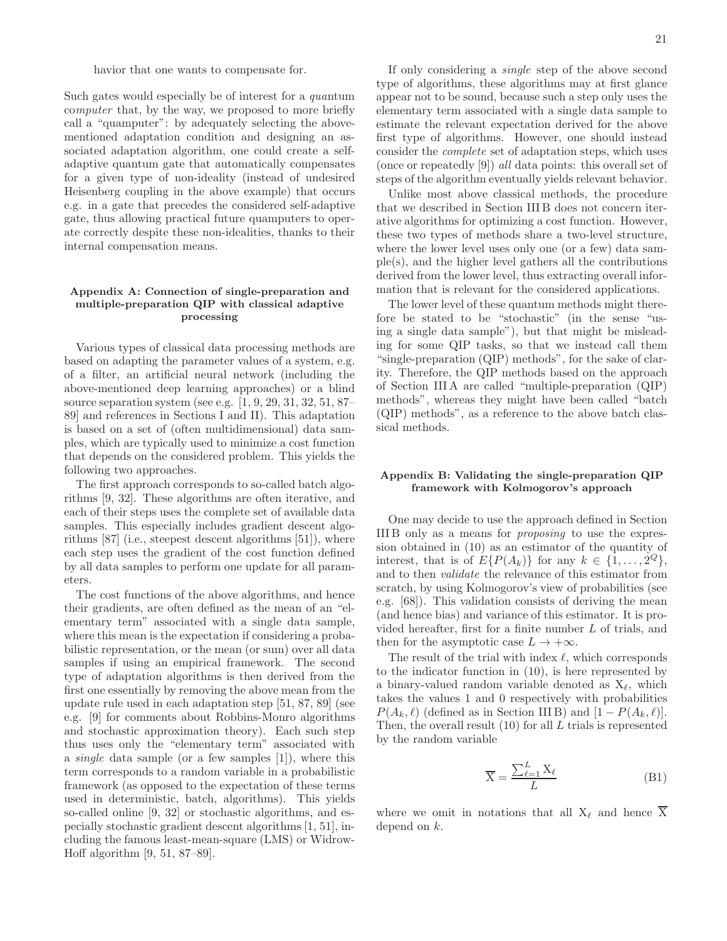havior that one wants to compensate for.

Such gates would especially be of interest for a quantum computer that, by the way, we proposed to more briefly call a "quamputer": by adequately selecting the abovementioned adaptation condition and designing an associated adaptation algorithm, one could create a selfadaptive quantum gate that automatically compensates for a given type of non-ideality (instead of undesired Heisenberg coupling in the above example) that occurs e.g. in a gate that precedes the considered self-adaptive gate, thus allowing practical future quamputers to operate correctly despite these non-idealities, thanks to their internal compensation means.

## Appendix A: Connection of single-preparation and multiple-preparation QIP with classical adaptive processing

Various types of classical data processing methods are based on adapting the parameter values of a system, e.g. of a filter, an artificial neural network (including the above-mentioned deep learning approaches) or a blind source separation system (see e.g. [1, 9, 29, 31, 32, 51, 87– 89] and references in Sections I and II). This adaptation is based on a set of (often multidimensional) data samples, which are typically used to minimize a cost function that depends on the considered problem. This yields the following two approaches.

The first approach corresponds to so-called batch algorithms [9, 32]. These algorithms are often iterative, and each of their steps uses the complete set of available data samples. This especially includes gradient descent algorithms [87] (i.e., steepest descent algorithms [51]), where each step uses the gradient of the cost function defined by all data samples to perform one update for all parameters.

The cost functions of the above algorithms, and hence their gradients, are often defined as the mean of an "elementary term" associated with a single data sample, where this mean is the expectation if considering a probabilistic representation, or the mean (or sum) over all data samples if using an empirical framework. The second type of adaptation algorithms is then derived from the first one essentially by removing the above mean from the update rule used in each adaptation step [51, 87, 89] (see e.g. [9] for comments about Robbins-Monro algorithms and stochastic approximation theory). Each such step thus uses only the "elementary term" associated with a single data sample (or a few samples [1]), where this term corresponds to a random variable in a probabilistic framework (as opposed to the expectation of these terms used in deterministic, batch, algorithms). This yields so-called online [9, 32] or stochastic algorithms, and especially stochastic gradient descent algorithms [1, 51], including the famous least-mean-square (LMS) or Widrow-Hoff algorithm [9, 51, 87–89].

If only considering a single step of the above second type of algorithms, these algorithms may at first glance appear not to be sound, because such a step only uses the elementary term associated with a single data sample to estimate the relevant expectation derived for the above first type of algorithms. However, one should instead consider the complete set of adaptation steps, which uses (once or repeatedly [9]) all data points: this overall set of steps of the algorithm eventually yields relevant behavior.

Unlike most above classical methods, the procedure that we described in Section III B does not concern iterative algorithms for optimizing a cost function. However, these two types of methods share a two-level structure, where the lower level uses only one (or a few) data sample(s), and the higher level gathers all the contributions derived from the lower level, thus extracting overall information that is relevant for the considered applications.

The lower level of these quantum methods might therefore be stated to be "stochastic" (in the sense "using a single data sample"), but that might be misleading for some QIP tasks, so that we instead call them "single-preparation (QIP) methods", for the sake of clarity. Therefore, the QIP methods based on the approach of Section III A are called "multiple-preparation (QIP) methods", whereas they might have been called "batch (QIP) methods", as a reference to the above batch classical methods.

# Appendix B: Validating the single-preparation QIP framework with Kolmogorov's approach

One may decide to use the approach defined in Section III B only as a means for proposing to use the expression obtained in (10) as an estimator of the quantity of interest, that is of  $E\{P(A_k)\}\$ for any  $k \in \{1, ..., 2^Q\},\$ and to then validate the relevance of this estimator from scratch, by using Kolmogorov's view of probabilities (see e.g. [68]). This validation consists of deriving the mean (and hence bias) and variance of this estimator. It is provided hereafter, first for a finite number L of trials, and then for the asymptotic case  $L \to +\infty$ .

The result of the trial with index  $\ell$ , which corresponds to the indicator function in (10), is here represented by a binary-valued random variable denoted as  $X_{\ell}$ , which takes the values 1 and 0 respectively with probabilities  $P(A_k, \ell)$  (defined as in Section III B) and  $[1 - P(A_k, \ell)].$ Then, the overall result  $(10)$  for all L trials is represented by the random variable

$$
\overline{X} = \frac{\sum_{\ell=1}^{L} X_{\ell}}{L}
$$
 (B1)

where we omit in notations that all  $X_{\ell}$  and hence  $\overline{X}$ depend on k.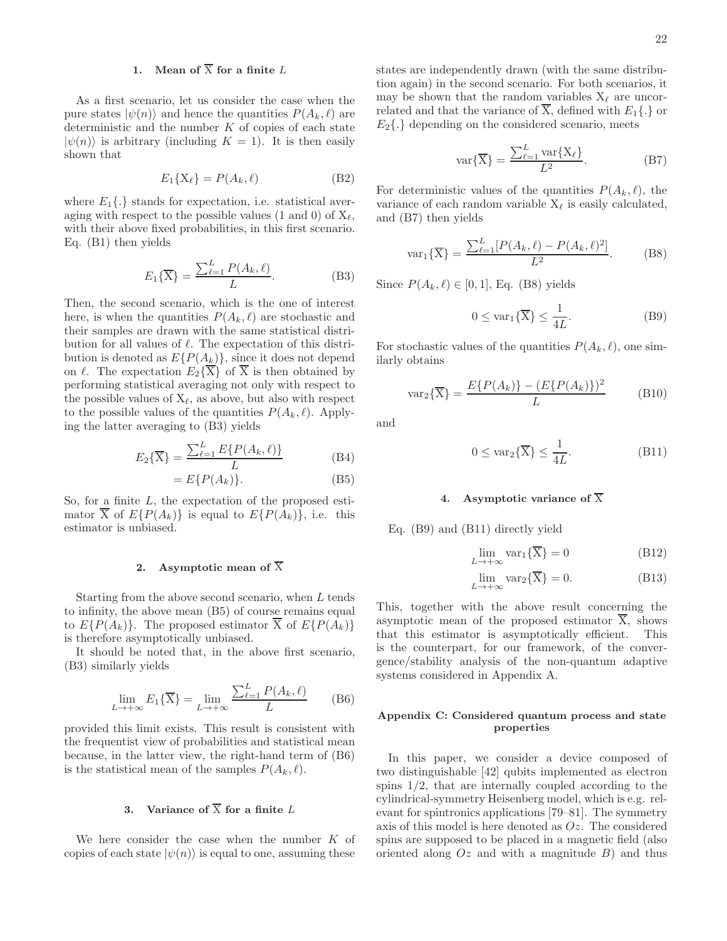# 1. Mean of  $\overline{X}$  for a finite L

As a first scenario, let us consider the case when the pure states  $|\psi(n)\rangle$  and hence the quantities  $P(A_k, \ell)$  are deterministic and the number  $K$  of copies of each state  $|\psi(n)\rangle$  is arbitrary (including  $K = 1$ ). It is then easily shown that

$$
E_1\{\mathbf{X}_\ell\} = P(A_k, \ell) \tag{B2}
$$

where  $E_1\{\cdot\}$  stands for expectation, i.e. statistical averaging with respect to the possible values (1 and 0) of  $X_{\ell}$ , with their above fixed probabilities, in this first scenario. Eq. (B1) then yields

$$
E_1\{\overline{X}\} = \frac{\sum_{\ell=1}^{L} P(A_k, \ell)}{L}.
$$
 (B3)

Then, the second scenario, which is the one of interest here, is when the quantities  $P(A_k, \ell)$  are stochastic and their samples are drawn with the same statistical distribution for all values of  $\ell$ . The expectation of this distribution is denoted as  $E\{P(A_k)\}\$ , since it does not depend on  $\ell$ . The expectation  $E_2\{\overline{X}\}\$  of  $\overline{X}$  is then obtained by performing statistical averaging not only with respect to the possible values of  $X_{\ell}$ , as above, but also with respect to the possible values of the quantities  $P(A_k, \ell)$ . Applying the latter averaging to (B3) yields

$$
E_2\{\overline{X}\} = \frac{\sum_{\ell=1}^{L} E\{P(A_k, \ell)\}}{L}
$$
 (B4)

$$
= E\{P(A_k)\}.
$$
 (B5)

So, for a finite L, the expectation of the proposed estimator  $\overline{X}$  of  $E\{P(A_k)\}\$ is equal to  $E\{P(A_k)\}\$ , i.e. this estimator is unbiased.

#### 2. Asymptotic mean of  $\overline{X}$

Starting from the above second scenario, when L tends to infinity, the above mean (B5) of course remains equal to  $E\{P(A_k)\}\$ . The proposed estimator X of  $E\{P(A_k)\}\$ is therefore asymptotically unbiased.

It should be noted that, in the above first scenario, (B3) similarly yields

$$
\lim_{L \to +\infty} E_1\{\overline{X}\} = \lim_{L \to +\infty} \frac{\sum_{\ell=1}^L P(A_k, \ell)}{L}
$$
 (B6)

provided this limit exists. This result is consistent with the frequentist view of probabilities and statistical mean because, in the latter view, the right-hand term of (B6) is the statistical mean of the samples  $P(A_k, \ell)$ .

# 3. Variance of  $\overline{X}$  for a finite L

We here consider the case when the number  $K$  of copies of each state  $|\psi(n)\rangle$  is equal to one, assuming these states are independently drawn (with the same distribution again) in the second scenario. For both scenarios, it may be shown that the random variables  $X_{\ell}$  are uncorrelated and that the variance of  $\overline{X}$ , defined with  $E_1\{\ldotp\}$  or  $E_2\{\cdot\}$  depending on the considered scenario, meets

$$
\text{var}\{\overline{X}\} = \frac{\sum_{\ell=1}^{L} \text{var}\{X_{\ell}\}}{L^2}.
$$
 (B7)

For deterministic values of the quantities  $P(A_k, \ell)$ , the variance of each random variable  $X_{\ell}$  is easily calculated, and (B7) then yields

$$
\text{var}_1\{\overline{X}\} = \frac{\sum_{\ell=1}^{L} [P(A_k, \ell) - P(A_k, \ell)^2]}{L^2}.
$$
 (B8)

Since  $P(A_k, \ell) \in [0, 1]$ , Eq. (B8) yields

$$
0 \leq \text{var}_1\{\overline{X}\} \leq \frac{1}{4L}.\tag{B9}
$$

For stochastic values of the quantities  $P(A_k, \ell)$ , one similarly obtains

$$
\text{var}_2\{\overline{X}\} = \frac{E\{P(A_k)\} - (E\{P(A_k)\})^2}{L}
$$
 (B10)

and

$$
0 \leq \text{var}_2\{\overline{X}\} \leq \frac{1}{4L}.\tag{B11}
$$

# 4. Asymptotic variance of  $\overline{X}$

Eq. (B9) and (B11) directly yield

$$
\lim_{L \to +\infty} \text{var}_1\{\mathbf{X}\} = 0 \tag{B12}
$$

$$
\lim_{L \to +\infty} \text{var}_2\{\overline{X}\} = 0. \tag{B13}
$$

This, together with the above result concerning the asymptotic mean of the proposed estimator X, shows that this estimator is asymptotically efficient. This is the counterpart, for our framework, of the convergence/stability analysis of the non-quantum adaptive systems considered in Appendix A.

# Appendix C: Considered quantum process and state properties

In this paper, we consider a device composed of two distinguishable [42] qubits implemented as electron spins 1/2, that are internally coupled according to the cylindrical-symmetry Heisenberg model, which is e.g. relevant for spintronics applications [79–81]. The symmetry axis of this model is here denoted as Oz. The considered spins are supposed to be placed in a magnetic field (also oriented along  $Oz$  and with a magnitude  $B$ ) and thus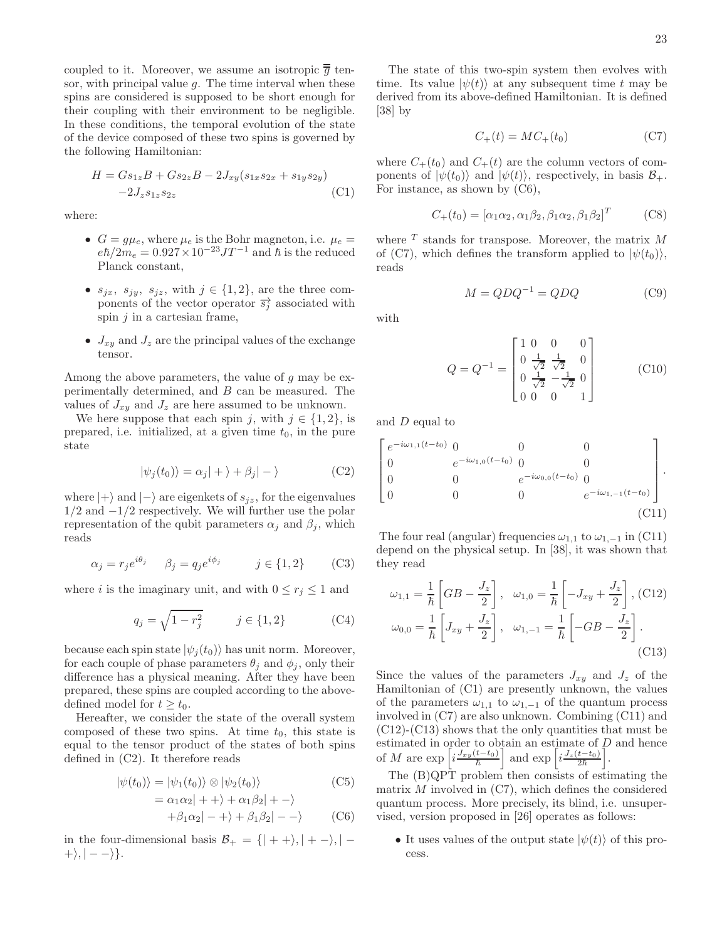coupled to it. Moreover, we assume an isotropic  $\overline{\overline{g}}$  tensor, with principal value  $g$ . The time interval when these spins are considered is supposed to be short enough for their coupling with their environment to be negligible. In these conditions, the temporal evolution of the state of the device composed of these two spins is governed by the following Hamiltonian:

$$
H = Gs_{1z}B + Gs_{2z}B - 2J_{xy}(s_{1x}s_{2x} + s_{1y}s_{2y})
$$
  
-2J<sub>z</sub>s<sub>1z</sub>s<sub>2z</sub> (C1)

where:

- $G = g\mu_e$ , where  $\mu_e$  is the Bohr magneton, i.e.  $\mu_e =$  $e\hbar/2m_e = 0.927 \times 10^{-23} J T^{-1}$  and  $\hbar$  is the reduced Planck constant,
- $s_{jx}, s_{jy}, s_{jz},$  with  $j \in \{1, 2\}$ , are the three components of the vector operator  $\overrightarrow{s_i}$  associated with spin  $j$  in a cartesian frame,
- $J_{xy}$  and  $J_z$  are the principal values of the exchange tensor.

Among the above parameters, the value of  $g$  may be experimentally determined, and B can be measured. The values of  $J_{xy}$  and  $J_z$  are here assumed to be unknown.

We here suppose that each spin j, with  $j \in \{1, 2\}$ , is prepared, i.e. initialized, at a given time  $t_0$ , in the pure state

$$
|\psi_j(t_0)\rangle = \alpha_j| + \rangle + \beta_j| - \rangle \tag{C2}
$$

where  $|+\rangle$  and  $|-\rangle$  are eigenkets of  $s_{iz}$ , for the eigenvalues  $1/2$  and  $-1/2$  respectively. We will further use the polar representation of the qubit parameters  $\alpha_i$  and  $\beta_i$ , which reads

$$
\alpha_j = r_j e^{i\theta_j} \qquad \beta_j = q_j e^{i\phi_j} \qquad j \in \{1, 2\} \qquad \text{(C3)}
$$

where i is the imaginary unit, and with  $0 \leq r_i \leq 1$  and

$$
q_j = \sqrt{1 - r_j^2} \qquad j \in \{1, 2\} \tag{C4}
$$

because each spin state  $|\psi_i(t_0)\rangle$  has unit norm. Moreover, for each couple of phase parameters  $\theta_i$  and  $\phi_i$ , only their difference has a physical meaning. After they have been prepared, these spins are coupled according to the abovedefined model for  $t \geq t_0$ .

Hereafter, we consider the state of the overall system composed of these two spins. At time  $t_0$ , this state is equal to the tensor product of the states of both spins defined in (C2). It therefore reads

$$
|\psi(t_0)\rangle = |\psi_1(t_0)\rangle \otimes |\psi_2(t_0)\rangle
$$
 (C5)

$$
= \alpha_1 \alpha_2 |++\rangle + \alpha_1 \beta_2 |+-\rangle
$$
  
+  $\beta_1 \alpha_2 |-+\rangle + \beta_1 \beta_2 |--\rangle$  (C6)

in the four-dimensional basis  $\mathcal{B}_+ = \{ | + + \rangle, | + - \rangle, | + \rangle, |- - \rangle\}.$ 

The state of this two-spin system then evolves with time. Its value  $|\psi(t)\rangle$  at any subsequent time t may be derived from its above-defined Hamiltonian. It is defined [38] by

$$
C_{+}(t) = MC_{+}(t_0)
$$
\n<sup>(C7)</sup>

where  $C_+(t_0)$  and  $C_+(t)$  are the column vectors of components of  $|\psi(t_0)\rangle$  and  $|\psi(t)\rangle$ , respectively, in basis  $\mathcal{B}_+$ . For instance, as shown by (C6),

$$
C_{+}(t_0) = [\alpha_1 \alpha_2, \alpha_1 \beta_2, \beta_1 \alpha_2, \beta_1 \beta_2]^T
$$
 (C8)

where  $T$  stands for transpose. Moreover, the matrix  $M$ of (C7), which defines the transform applied to  $|\psi(t_0)\rangle$ , reads

$$
M = QDQ^{-1} = QDQ \tag{C9}
$$

with

$$
Q = Q^{-1} = \begin{bmatrix} 1 & 0 & 0 & 0 \\ 0 & \frac{1}{\sqrt{2}} & \frac{1}{\sqrt{2}} & 0 \\ 0 & \frac{1}{\sqrt{2}} & -\frac{1}{\sqrt{2}} & 0 \\ 0 & 0 & 0 & 1 \end{bmatrix}
$$
 (C10)

and D equal to

$$
\begin{bmatrix}\ne^{-i\omega_{1,1}(t-t_0)} & 0 & 0 & 0 \\
0 & e^{-i\omega_{1,0}(t-t_0)} & 0 & 0 \\
0 & 0 & e^{-i\omega_{0,0}(t-t_0)} & 0 \\
0 & 0 & 0 & e^{-i\omega_{1,-1}(t-t_0)}\n\end{bmatrix}.
$$
\n(C11)

The four real (angular) frequencies  $\omega_{1,1}$  to  $\omega_{1,-1}$  in (C11) depend on the physical setup. In [38], it was shown that they read

$$
\omega_{1,1} = \frac{1}{\hbar} \left[ GB - \frac{J_z}{2} \right], \quad \omega_{1,0} = \frac{1}{\hbar} \left[ -J_{xy} + \frac{J_z}{2} \right], \text{(C12)}
$$
\n
$$
\omega_{0,0} = \frac{1}{\hbar} \left[ J_{xy} + \frac{J_z}{2} \right], \quad \omega_{1,-1} = \frac{1}{\hbar} \left[ -GB - \frac{J_z}{2} \right]. \tag{C13}
$$

Since the values of the parameters  $J_{xy}$  and  $J_z$  of the Hamiltonian of (C1) are presently unknown, the values of the parameters  $\omega_{1,1}$  to  $\omega_{1,-1}$  of the quantum process involved in (C7) are also unknown. Combining (C11) and  $(C12)-(C13)$  shows that the only quantities that must be estimated in order to obtain an estimate of D and hence<br>of M are  $\exp\left[i\frac{J_{xy}(t-t_0)}{\hbar}\right]$  and  $\exp\left[i\frac{J_z(t-t_0)}{2\hbar}\right]$ . i .

The (B)QPT problem then consists of estimating the matrix  $M$  involved in  $(C7)$ , which defines the considered quantum process. More precisely, its blind, i.e. unsupervised, version proposed in [26] operates as follows:

• It uses values of the output state  $|\psi(t)\rangle$  of this process.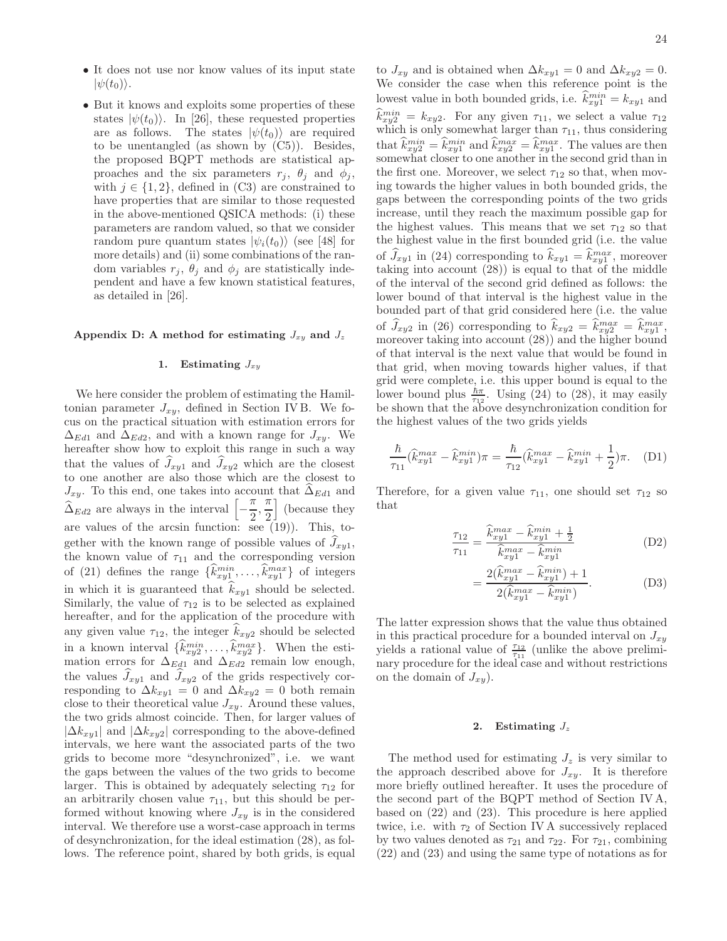- It does not use nor know values of its input state  $|\psi(t_0)\rangle$ .
- But it knows and exploits some properties of these states  $|\psi(t_0)\rangle$ . In [26], these requested properties are as follows. The states  $|\psi(t_0)\rangle$  are required to be unentangled (as shown by (C5)). Besides, the proposed BQPT methods are statistical approaches and the six parameters  $r_j$ ,  $\theta_j$  and  $\phi_j$ , with  $j \in \{1, 2\}$ , defined in (C3) are constrained to have properties that are similar to those requested in the above-mentioned QSICA methods: (i) these parameters are random valued, so that we consider random pure quantum states  $|\psi_i(t_0)\rangle$  (see [48] for more details) and (ii) some combinations of the random variables  $r_j$ ,  $\theta_j$  and  $\phi_j$  are statistically independent and have a few known statistical features, as detailed in [26].

#### Appendix D: A method for estimating  $J_{xy}$  and  $J_z$

# 1. Estimating  $J_{xy}$

We here consider the problem of estimating the Hamiltonian parameter  $J_{xy}$ , defined in Section IV B. We focus on the practical situation with estimation errors for  $\Delta_{Ed1}$  and  $\Delta_{Ed2}$ , and with a known range for  $J_{xy}$ . We hereafter show how to exploit this range in such a way that the values of  $J_{xy1}$  and  $J_{xy2}$  which are the closest to one another are also those which are the closest to  $J_{xy}$ . To this end, one takes into account that  $\widehat{\Delta}_{Ed1}$  and  $\widehat{\Delta}_{Ed2}$  are always in the interval  $\Big[-\Big]$ π  $\frac{\pi}{2}, \frac{\pi}{2}$ 2 | (because they are values of the arcsin function: see (19)). This, together with the known range of possible values of  $J_{xy1}$ , the known value of  $\tau_{11}$  and the corresponding version of (21) defines the range  $\{\hat{k}_{xy1}^{min}, \dots, \hat{k}_{xy1}^{max}\}$  of integers in which it is guaranteed that  $k_{xy1}$  should be selected. Similarly, the value of  $\tau_{12}$  is to be selected as explained hereafter, and for the application of the procedure with any given value  $\tau_{12}$ , the integer  $k_{xy2}$  should be selected in a known interval  $\{\hat{k}_{xy2}^{min}, \dots, \hat{k}_{xy2}^{max}\}$ . When the estimation errors for  $\Delta_{Ed1}$  and  $\Delta_{Ed2}$  remain low enough, the values  $J_{xy1}$  and  $J_{xy2}$  of the grids respectively corresponding to  $\Delta k_{xy1} = 0$  and  $\Delta k_{xy2} = 0$  both remain close to their theoretical value  $J_{xy}$ . Around these values, the two grids almost coincide. Then, for larger values of  $|\Delta k_{xy1}|$  and  $|\Delta k_{xy2}|$  corresponding to the above-defined intervals, we here want the associated parts of the two grids to become more "desynchronized", i.e. we want the gaps between the values of the two grids to become larger. This is obtained by adequately selecting  $\tau_{12}$  for an arbitrarily chosen value  $\tau_{11}$ , but this should be performed without knowing where  $J_{xy}$  is in the considered interval. We therefore use a worst-case approach in terms of desynchronization, for the ideal estimation (28), as follows. The reference point, shared by both grids, is equal

to  $J_{xy}$  and is obtained when  $\Delta k_{xy1} = 0$  and  $\Delta k_{xy2} = 0$ . We consider the case when this reference point is the lowest value in both bounded grids, i.e.  $\hat{k}_{xy1}^{min} = k_{xy1}$  and  $\hat{k}_{xy2}^{min} = k_{xy2}$ . For any given  $\tau_{11}$ , we select a value  $\tau_{12}$ which is only somewhat larger than  $\tau_{11}$ , thus considering that  $\hat{k}_{xy2}^{min} = \hat{k}_{xy1}^{min}$  and  $\hat{k}_{xy2}^{max} = \hat{k}_{xy1}^{max}$ . The values are then somewhat closer to one another in the second grid than in the first one. Moreover, we select  $\tau_{12}$  so that, when moving towards the higher values in both bounded grids, the gaps between the corresponding points of the two grids increase, until they reach the maximum possible gap for the highest values. This means that we set  $\tau_{12}$  so that the highest value in the first bounded grid (i.e. the value of  $J_{xy1}$  in (24) corresponding to  $k_{xy1} = k_{xy1}^{max}$ , moreover taking into account (28)) is equal to that of the middle of the interval of the second grid defined as follows: the lower bound of that interval is the highest value in the bounded part of that grid considered here (i.e. the value of  $\widehat{J}_{xy2}$  in (26) corresponding to  $\widehat{k}_{xy2} = \widehat{k}_{xy2}^{max} = \widehat{k}_{xy1}^{max}$ , moreover taking into account (28)) and the higher bound of that interval is the next value that would be found in that grid, when moving towards higher values, if that grid were complete, i.e. this upper bound is equal to the hower bound plus  $\frac{\hbar\pi}{\tau_{12}}$ . Using (24) to (28), it may easily be shown that the above desynchronization condition for the highest values of the two grids yields

$$
\frac{\hbar}{\tau_{11}} (\hat{k}_{xy1}^{max} - \hat{k}_{xy1}^{min}) \pi = \frac{\hbar}{\tau_{12}} (\hat{k}_{xy1}^{max} - \hat{k}_{xy1}^{min} + \frac{1}{2}) \pi.
$$
 (D1)

Therefore, for a given value  $\tau_{11}$ , one should set  $\tau_{12}$  so that

$$
\frac{\tau_{12}}{\tau_{11}} = \frac{\hat{k}_{xy1}^{max} - \hat{k}_{xy1}^{min} + \frac{1}{2}}{\hat{k}_{xy1}^{max} - \hat{k}_{xy1}^{min}}
$$
(D2)

$$
= \frac{2(\hat{k}_{xy1}^{max} - \hat{k}_{xy1}^{min}) + 1}{2(\hat{k}_{xy1}^{max} - \hat{k}_{xy1}^{min})}.
$$
 (D3)

The latter expression shows that the value thus obtained in this practical procedure for a bounded interval on  $J_{x,y}$ yields a rational value of  $\frac{\tau_{12}}{\tau_{11}}$  (unlike the above preliminary procedure for the ideal case and without restrictions on the domain of  $J_{xy}$ ).

#### 2. Estimating  $J_z$

The method used for estimating  $J_z$  is very similar to the approach described above for  $J_{xy}$ . It is therefore more briefly outlined hereafter. It uses the procedure of the second part of the BQPT method of Section IV A, based on (22) and (23). This procedure is here applied twice, i.e. with  $\tau_2$  of Section IV A successively replaced by two values denoted as  $\tau_{21}$  and  $\tau_{22}$ . For  $\tau_{21}$ , combining (22) and (23) and using the same type of notations as for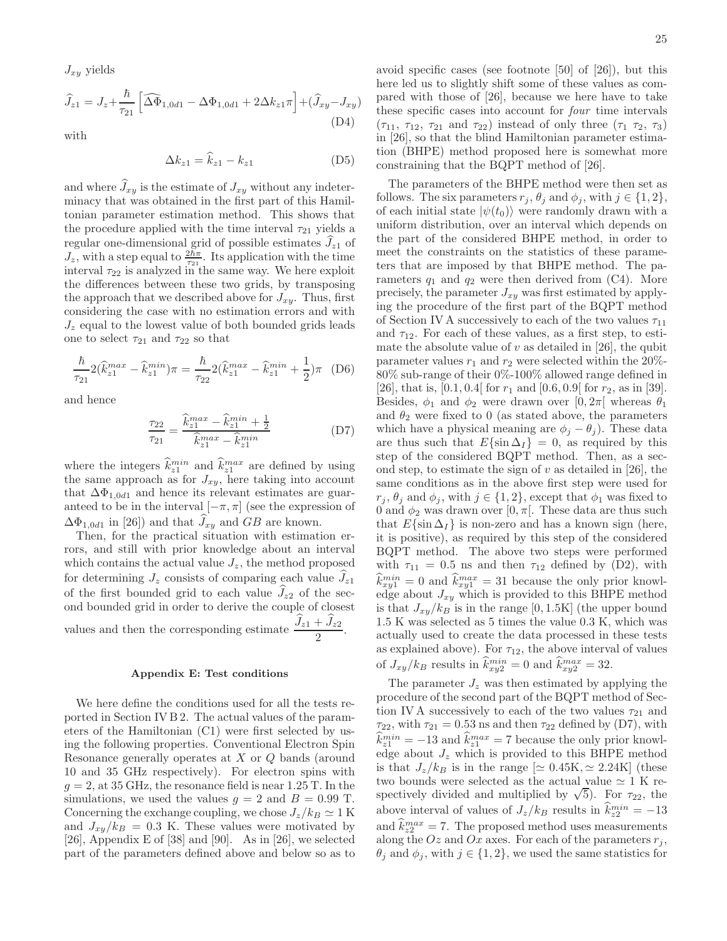$J_{xy}$  yields

$$
\widehat{J}_{z1} = J_z + \frac{\hbar}{\tau_{21}} \left[ \widehat{\Delta \Phi}_{1,0d1} - \Delta \Phi_{1,0d1} + 2\Delta k_{z1} \pi \right] + (\widehat{J}_{xy} - J_{xy})
$$
\n(D4)

with

$$
\Delta k_{z1} = \hat{k}_{z1} - k_{z1} \tag{D5}
$$

and where  $J_{xy}$  is the estimate of  $J_{xy}$  without any indeterminacy that was obtained in the first part of this Hamiltonian parameter estimation method. This shows that the procedure applied with the time interval  $\tau_{21}$  yields a regular one-dimensional grid of possible estimates  $J_{z1}$  of  $J_z$ , with a step equal to  $\frac{2\tilde{h}\pi}{\tau_{21}}$ . Its application with the time interval  $\tau_{22}$  is analyzed in the same way. We here exploit the differences between these two grids, by transposing the approach that we described above for  $J_{xy}$ . Thus, first considering the case with no estimation errors and with  $J_z$  equal to the lowest value of both bounded grids leads one to select  $\tau_{21}$  and  $\tau_{22}$  so that

$$
\frac{\hbar}{\tau_{21}} 2(\hat{k}_{z1}^{max} - \hat{k}_{z1}^{min})\pi = \frac{\hbar}{\tau_{22}} 2(\hat{k}_{z1}^{max} - \hat{k}_{z1}^{min} + \frac{1}{2})\pi
$$
 (D6)

and hence

$$
\frac{\tau_{22}}{\tau_{21}} = \frac{\hat{k}_{z1}^{max} - \hat{k}_{z1}^{min} + \frac{1}{2}}{\hat{k}_{z1}^{max} - \hat{k}_{z1}^{min}} \tag{D7}
$$

where the integers  $\hat{k}_{z1}^{min}$  and  $\hat{k}_{z1}^{max}$  are defined by using the same approach as for  $J_{xy}$ , here taking into account that  $\Delta\Phi_{1,0d1}$  and hence its relevant estimates are guaranteed to be in the interval  $[-\pi, \pi]$  (see the expression of  $\Delta\Phi_{1,0d1}$  in [26]) and that  $\widehat{J}_{xy}$  and GB are known.

Then, for the practical situation with estimation errors, and still with prior knowledge about an interval which contains the actual value  $J_z$ , the method proposed for determining  $J_z$  consists of comparing each value  $J_{z1}$ of the first bounded grid to each value  $J_{z2}$  of the second bounded grid in order to derive the couple of closest values and then the corresponding estimate  $\frac{J_{z1} + J_{z2}}{2}$ .

#### Appendix E: Test conditions

We here define the conditions used for all the tests reported in Section IV B 2. The actual values of the parameters of the Hamiltonian (C1) were first selected by using the following properties. Conventional Electron Spin Resonance generally operates at X or Q bands (around 10 and 35 GHz respectively). For electron spins with  $q = 2$ , at 35 GHz, the resonance field is near 1.25 T. In the simulations, we used the values  $q = 2$  and  $B = 0.99$  T. Concerning the exchange coupling, we chose  $J_z/k_B \simeq 1 \,\mathrm{K}$ and  $J_{xy}/k_B = 0.3$  K. These values were motivated by [26], Appendix E of [38] and [90]. As in [26], we selected part of the parameters defined above and below so as to avoid specific cases (see footnote [50] of [26]), but this here led us to slightly shift some of these values as compared with those of [26], because we here have to take these specific cases into account for four time intervals  $(\tau_{11}, \tau_{12}, \tau_{21} \text{ and } \tau_{22})$  instead of only three  $(\tau_1 \tau_2, \tau_3)$ in [26], so that the blind Hamiltonian parameter estimation (BHPE) method proposed here is somewhat more constraining that the BQPT method of [26].

The parameters of the BHPE method were then set as follows. The six parameters  $r_j$ ,  $\theta_j$  and  $\phi_j$ , with  $j \in \{1, 2\}$ , of each initial state  $|\psi(t_0)\rangle$  were randomly drawn with a uniform distribution, over an interval which depends on the part of the considered BHPE method, in order to meet the constraints on the statistics of these parameters that are imposed by that BHPE method. The parameters  $q_1$  and  $q_2$  were then derived from (C4). More precisely, the parameter  $J_{xy}$  was first estimated by applying the procedure of the first part of the BQPT method of Section IV A successively to each of the two values  $\tau_{11}$ and  $\tau_{12}$ . For each of these values, as a first step, to estimate the absolute value of  $v$  as detailed in [26], the qubit parameter values  $r_1$  and  $r_2$  were selected within the 20%-80% sub-range of their 0%-100% allowed range defined in [26], that is,  $[0.1, 0.4]$  for  $r_1$  and  $[0.6, 0.9]$  for  $r_2$ , as in [39]. Besides,  $\phi_1$  and  $\phi_2$  were drawn over [0,  $2\pi$ ] whereas  $\theta_1$ and  $\theta_2$  were fixed to 0 (as stated above, the parameters which have a physical meaning are  $\phi_j - \theta_j$ ). These data are thus such that  $E\{\sin \Delta_I\} = 0$ , as required by this step of the considered BQPT method. Then, as a second step, to estimate the sign of  $v$  as detailed in [26], the same conditions as in the above first step were used for  $r_i, \theta_i$  and  $\phi_i$ , with  $j \in \{1, 2\}$ , except that  $\phi_1$  was fixed to 0 and  $\phi_2$  was drawn over [0,  $\pi$ ]. These data are thus such that  $E\{\sin \Delta I\}$  is non-zero and has a known sign (here, it is positive), as required by this step of the considered BQPT method. The above two steps were performed with  $\tau_{11} = 0.5$  ns and then  $\tau_{12}$  defined by (D2), with  $\hat{k}_{xy1}^{min} = 0$  and  $\hat{k}_{xy1}^{max} = 31$  because the only prior knowledge about  $J_{xy}$  which is provided to this BHPE method is that  $J_{xy}/k_B$  is in the range [0, 1.5K] (the upper bound 1.5 K was selected as 5 times the value 0.3 K, which was actually used to create the data processed in these tests as explained above). For  $\tau_{12}$ , the above interval of values of  $J_{xy}/k_B$  results in  $\hat{k}_{xy2}^{min} = 0$  and  $\hat{k}_{xy2}^{max} = 32$ .

The parameter  $J_z$  was then estimated by applying the procedure of the second part of the BQPT method of Section IV A successively to each of the two values  $\tau_{21}$  and  $\tau_{22}$ , with  $\tau_{21} = 0.53$  ns and then  $\tau_{22}$  defined by (D7), with  $\hat{k}_{z1}^{min} = -13$  and  $\hat{k}_{z1}^{max} = 7$  because the only prior knowledge about  $J_z$  which is provided to this BHPE method is that  $J_z/k_B$  is in the range  $[\simeq 0.45$ K,  $\simeq 2.24$ K] (these two bounds were selected as the actual value  $\simeq$  1 K respectively divided and multiplied by  $\sqrt{5}$ ). For  $\tau_{22}$ , the above interval of values of  $J_z/k_B$  results in  $\hat{k}^{min}_{z} = -13$ and  $\hat{k}_{z2}^{max} = 7$ . The proposed method uses measurements along the Oz and Ox axes. For each of the parameters  $r_j$ ,  $\theta_j$  and  $\phi_j$ , with  $j \in \{1, 2\}$ , we used the same statistics for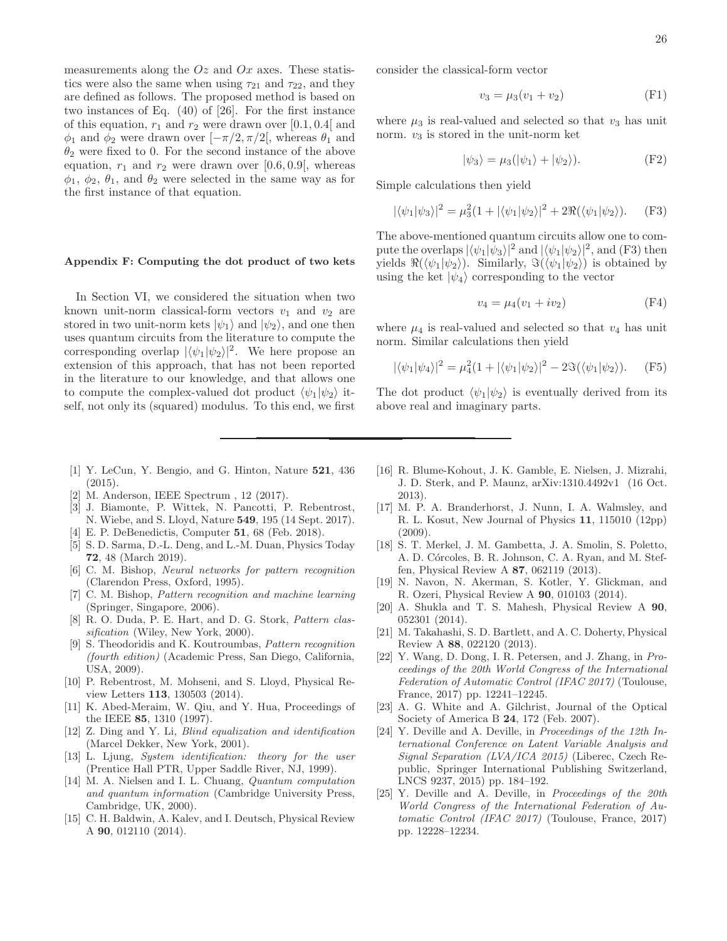measurements along the  $Oz$  and  $Ox$  axes. These statistics were also the same when using  $\tau_{21}$  and  $\tau_{22}$ , and they are defined as follows. The proposed method is based on two instances of Eq. (40) of [26]. For the first instance of this equation,  $r_1$  and  $r_2$  were drawn over [0.1, 0.4] and  $\phi_1$  and  $\phi_2$  were drawn over  $[-\pi/2, \pi/2]$ , whereas  $\theta_1$  and  $\theta_2$  were fixed to 0. For the second instance of the above equation,  $r_1$  and  $r_2$  were drawn over [0.6, 0.9], whereas  $\phi_1$ ,  $\phi_2$ ,  $\theta_1$ , and  $\theta_2$  were selected in the same way as for the first instance of that equation.

#### Appendix F: Computing the dot product of two kets

In Section VI, we considered the situation when two known unit-norm classical-form vectors  $v_1$  and  $v_2$  are stored in two unit-norm kets  $|\psi_1\rangle$  and  $|\psi_2\rangle$ , and one then uses quantum circuits from the literature to compute the corresponding overlap  $|\langle \psi_1 | \psi_2 \rangle|^2$ . We here propose an extension of this approach, that has not been reported in the literature to our knowledge, and that allows one to compute the complex-valued dot product  $\langle \psi_1 | \psi_2 \rangle$  itself, not only its (squared) modulus. To this end, we first consider the classical-form vector

$$
v_3 = \mu_3(v_1 + v_2)
$$
 (F1)

where  $\mu_3$  is real-valued and selected so that  $v_3$  has unit norm.  $v_3$  is stored in the unit-norm ket

$$
|\psi_3\rangle = \mu_3(|\psi_1\rangle + |\psi_2\rangle). \tag{F2}
$$

Simple calculations then yield

$$
|\langle \psi_1 | \psi_3 \rangle|^2 = \mu_3^2 (1 + |\langle \psi_1 | \psi_2 \rangle|^2 + 2 \Re(\langle \psi_1 | \psi_2 \rangle). \tag{F3}
$$

The above-mentioned quantum circuits allow one to compute the overlaps  $|\langle \psi_1 | \psi_3 \rangle|^2$  and  $|\langle \psi_1 | \psi_2 \rangle|^2$ , and (F3) then yields  $\Re(\langle \psi_1 | \psi_2 \rangle)$ . Similarly,  $\Im(\langle \psi_1 | \psi_2 \rangle)$  is obtained by using the ket  $|\psi_4\rangle$  corresponding to the vector

$$
v_4 = \mu_4 (v_1 + iv_2) \tag{F4}
$$

where  $\mu_4$  is real-valued and selected so that  $v_4$  has unit norm. Similar calculations then yield

$$
|\langle \psi_1 | \psi_4 \rangle|^2 = \mu_4^2 (1 + |\langle \psi_1 | \psi_2 \rangle|^2 - 2 \Im(\langle \psi_1 | \psi_2 \rangle). \tag{F5}
$$

The dot product  $\langle \psi_1 | \psi_2 \rangle$  is eventually derived from its above real and imaginary parts.

- [1] Y. LeCun, Y. Bengio, and G. Hinton, Nature 521, 436 (2015).
- [2] M. Anderson, IEEE Spectrum , 12 (2017).
- [3] J. Biamonte, P. Wittek, N. Pancotti, P. Rebentrost, N. Wiebe, and S. Lloyd, Nature 549, 195 (14 Sept. 2017).
- [4] E. P. DeBenedictis, Computer 51, 68 (Feb. 2018).
- [5] S. D. Sarma, D.-L. Deng, and L.-M. Duan, Physics Today 72, 48 (March 2019).
- [6] C. M. Bishop, *Neural networks for pattern recognition* (Clarendon Press, Oxford, 1995).
- [7] C. M. Bishop, *Pattern recognition and machine learning* (Springer, Singapore, 2006).
- [8] R. O. Duda, P. E. Hart, and D. G. Stork, *Pattern classification* (Wiley, New York, 2000).
- [9] S. Theodoridis and K. Koutroumbas, *Pattern recognition (fourth edition)* (Academic Press, San Diego, California, USA, 2009).
- [10] P. Rebentrost, M. Mohseni, and S. Lloyd, Physical Review Letters 113, 130503 (2014).
- [11] K. Abed-Meraim, W. Qiu, and Y. Hua, Proceedings of the IEEE 85, 1310 (1997).
- [12] Z. Ding and Y. Li, *Blind equalization and identification* (Marcel Dekker, New York, 2001).
- [13] L. Ljung, *System identification: theory for the user* (Prentice Hall PTR, Upper Saddle River, NJ, 1999).
- [14] M. A. Nielsen and I. L. Chuang, *Quantum computation and quantum information* (Cambridge University Press, Cambridge, UK, 2000).
- [15] C. H. Baldwin, A. Kalev, and I. Deutsch, Physical Review A 90, 012110 (2014).
- [16] R. Blume-Kohout, J. K. Gamble, E. Nielsen, J. Mizrahi, J. D. Sterk, and P. Maunz, arXiv:1310.4492v1 (16 Oct. 2013).
- [17] M. P. A. Branderhorst, J. Nunn, I. A. Walmsley, and R. L. Kosut, New Journal of Physics 11, 115010 (12pp) (2009).
- [18] S. T. Merkel, J. M. Gambetta, J. A. Smolin, S. Poletto, A. D. Córcoles, B. R. Johnson, C. A. Ryan, and M. Steffen, Physical Review A 87, 062119 (2013).
- [19] N. Navon, N. Akerman, S. Kotler, Y. Glickman, and R. Ozeri, Physical Review A 90, 010103 (2014).
- [20] A. Shukla and T. S. Mahesh, Physical Review A 90, 052301 (2014).
- [21] M. Takahashi, S. D. Bartlett, and A. C. Doherty, Physical Review A 88, 022120 (2013).
- [22] Y. Wang, D. Dong, I. R. Petersen, and J. Zhang, in *Proceedings of the 20th World Congress of the International Federation of Automatic Control (IFAC 2017)* (Toulouse, France, 2017) pp. 12241–12245.
- [23] A. G. White and A. Gilchrist, Journal of the Optical Society of America B 24, 172 (Feb. 2007).
- [24] Y. Deville and A. Deville, in *Proceedings of the 12th International Conference on Latent Variable Analysis and Signal Separation (LVA/ICA 2015)* (Liberec, Czech Republic, Springer International Publishing Switzerland, LNCS 9237, 2015) pp. 184–192.
- [25] Y. Deville and A. Deville, in *Proceedings of the 20th World Congress of the International Federation of Automatic Control (IFAC 2017)* (Toulouse, France, 2017) pp. 12228–12234.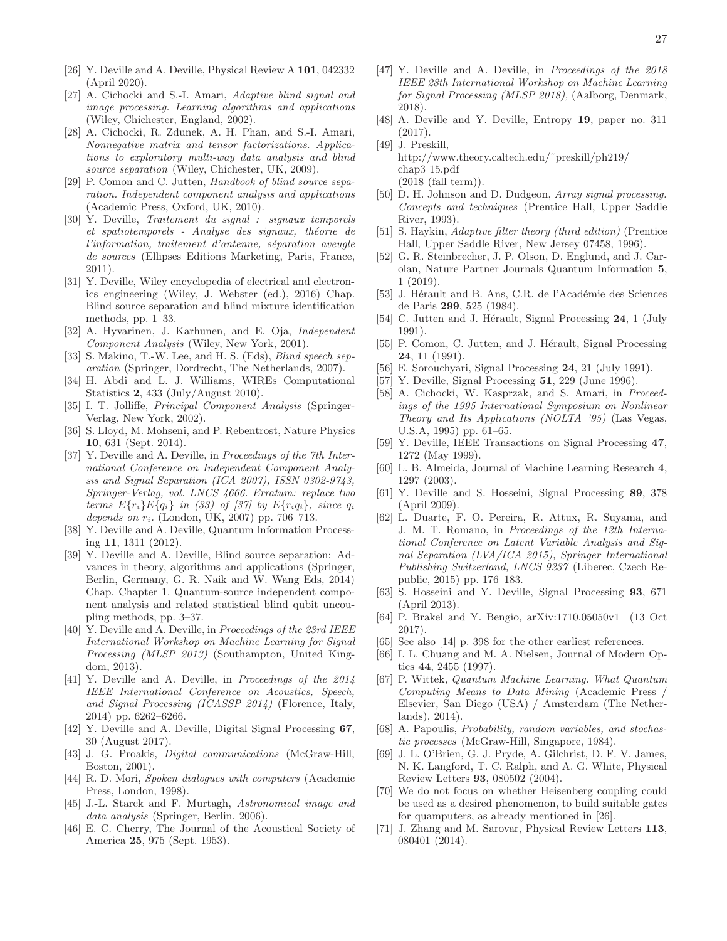- [27] A. Cichocki and S.-I. Amari, *Adaptive blind signal and image processing. Learning algorithms and applications* (Wiley, Chichester, England, 2002).
- [28] A. Cichocki, R. Zdunek, A. H. Phan, and S.-I. Amari, *Nonnegative matrix and tensor factorizations. Applications to exploratory multi-way data analysis and blind source separation* (Wiley, Chichester, UK, 2009).
- [29] P. Comon and C. Jutten, *Handbook of blind source separation. Independent component analysis and applications* (Academic Press, Oxford, UK, 2010).
- [30] Y. Deville, *Traitement du signal : signaux temporels et spatiotemporels - Analyse des signaux, th´eorie de l'information, traitement d'antenne, séparation aveugle de sources* (Ellipses Editions Marketing, Paris, France, 2011).
- [31] Y. Deville, Wiley encyclopedia of electrical and electronics engineering (Wiley, J. Webster (ed.), 2016) Chap. Blind source separation and blind mixture identification methods, pp. 1–33.
- [32] A. Hyvarinen, J. Karhunen, and E. Oja, *Independent Component Analysis* (Wiley, New York, 2001).
- [33] S. Makino, T.-W. Lee, and H. S. (Eds), *Blind speech separation* (Springer, Dordrecht, The Netherlands, 2007).
- [34] H. Abdi and L. J. Williams, WIREs Computational Statistics 2, 433 (July/August 2010).
- [35] I. T. Jolliffe, *Principal Component Analysis* (Springer-Verlag, New York, 2002).
- [36] S. Lloyd, M. Mohseni, and P. Rebentrost, Nature Physics 10, 631 (Sept. 2014).
- [37] Y. Deville and A. Deville, in *Proceedings of the 7th International Conference on Independent Component Analysis and Signal Separation (ICA 2007), ISSN 0302-9743, Springer-Verlag, vol. LNCS 4666. Erratum: replace two terms*  $E\{r_i\}E\{q_i\}$  *in (33) of [37] by*  $E\{r_iq_i\}$ *, since*  $q_i$ *depends on* ri*.* (London, UK, 2007) pp. 706–713.
- [38] Y. Deville and A. Deville, Quantum Information Processing 11, 1311 (2012).
- [39] Y. Deville and A. Deville, Blind source separation: Advances in theory, algorithms and applications (Springer, Berlin, Germany, G. R. Naik and W. Wang Eds, 2014) Chap. Chapter 1. Quantum-source independent component analysis and related statistical blind qubit uncoupling methods, pp. 3–37.
- [40] Y. Deville and A. Deville, in *Proceedings of the 23rd IEEE International Workshop on Machine Learning for Signal Processing (MLSP 2013)* (Southampton, United Kingdom, 2013).
- [41] Y. Deville and A. Deville, in *Proceedings of the 2014 IEEE International Conference on Acoustics, Speech, and Signal Processing (ICASSP 2014)* (Florence, Italy, 2014) pp. 6262–6266.
- [42] Y. Deville and A. Deville, Digital Signal Processing 67, 30 (August 2017).
- [43] J. G. Proakis, *Digital communications* (McGraw-Hill, Boston, 2001).
- [44] R. D. Mori, *Spoken dialogues with computers* (Academic Press, London, 1998).
- [45] J.-L. Starck and F. Murtagh, *Astronomical image and data analysis* (Springer, Berlin, 2006).
- [46] E. C. Cherry, The Journal of the Acoustical Society of America 25, 975 (Sept. 1953).
- [47] Y. Deville and A. Deville, in *Proceedings of the 2018 IEEE 28th International Workshop on Machine Learning for Signal Processing (MLSP 2018),* (Aalborg, Denmark, 2018).
- [48] A. Deville and Y. Deville, Entropy 19, paper no. 311 (2017).
- [49] J. Preskill, http://www.theory.caltech.edu/˜preskill/ph219/ chap3 15.pdf (2018 (fall term)).
- [50] D. H. Johnson and D. Dudgeon, *Array signal processing. Concepts and techniques* (Prentice Hall, Upper Saddle River, 1993).
- [51] S. Haykin, *Adaptive filter theory (third edition)* (Prentice Hall, Upper Saddle River, New Jersey 07458, 1996).
- [52] G. R. Steinbrecher, J. P. Olson, D. Englund, and J. Carolan, Nature Partner Journals Quantum Information 5, 1 (2019).
- [53] J. Hérault and B. Ans, C.R. de l'Académie des Sciences de Paris 299, 525 (1984).
- [54] C. Jutten and J. Hérault, Signal Processing 24, 1 (July 1991).
- [55] P. Comon, C. Jutten, and J. Hérault, Signal Processing 24, 11 (1991).
- [56] E. Sorouchyari, Signal Processing 24, 21 (July 1991).
- [57] Y. Deville, Signal Processing **51**, 229 (June 1996).
- [58] A. Cichocki, W. Kasprzak, and S. Amari, in *Proceedings of the 1995 International Symposium on Nonlinear Theory and Its Applications (NOLTA '95)* (Las Vegas, U.S.A, 1995) pp. 61–65.
- [59] Y. Deville, IEEE Transactions on Signal Processing 47, 1272 (May 1999).
- [60] L. B. Almeida, Journal of Machine Learning Research 4, 1297 (2003).
- [61] Y. Deville and S. Hosseini, Signal Processing 89, 378 (April 2009).
- [62] L. Duarte, F. O. Pereira, R. Attux, R. Suyama, and J. M. T. Romano, in *Proceedings of the 12th International Conference on Latent Variable Analysis and Signal Separation (LVA/ICA 2015), Springer International Publishing Switzerland, LNCS 9237* (Liberec, Czech Republic, 2015) pp. 176–183.
- [63] S. Hosseini and Y. Deville, Signal Processing 93, 671 (April 2013).
- [64] P. Brakel and Y. Bengio, arXiv:1710.05050v1 (13 Oct 2017).
- [65] See also [14] p. 398 for the other earliest references.
- [66] I. L. Chuang and M. A. Nielsen, Journal of Modern Optics 44, 2455 (1997).
- [67] P. Wittek, *Quantum Machine Learning. What Quantum Computing Means to Data Mining* (Academic Press / Elsevier, San Diego (USA) / Amsterdam (The Netherlands), 2014).
- [68] A. Papoulis, *Probability, random variables, and stochastic processes* (McGraw-Hill, Singapore, 1984).
- [69] J. L. O'Brien, G. J. Pryde, A. Gilchrist, D. F. V. James, N. K. Langford, T. C. Ralph, and A. G. White, Physical Review Letters 93, 080502 (2004).
- [70] We do not focus on whether Heisenberg coupling could be used as a desired phenomenon, to build suitable gates for quamputers, as already mentioned in [26].
- [71] J. Zhang and M. Sarovar, Physical Review Letters 113, 080401 (2014).